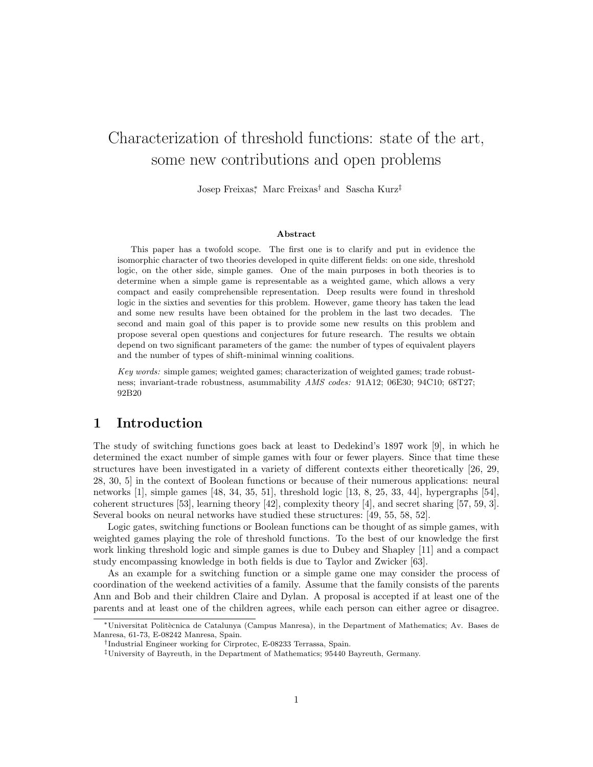# Characterization of threshold functions: state of the art, some new contributions and open problems

Josep Freixas<sup>∗</sup> , Marc Freixas† and Sascha Kurz‡

#### Abstract

This paper has a twofold scope. The first one is to clarify and put in evidence the isomorphic character of two theories developed in quite different fields: on one side, threshold logic, on the other side, simple games. One of the main purposes in both theories is to determine when a simple game is representable as a weighted game, which allows a very compact and easily comprehensible representation. Deep results were found in threshold logic in the sixties and seventies for this problem. However, game theory has taken the lead and some new results have been obtained for the problem in the last two decades. The second and main goal of this paper is to provide some new results on this problem and propose several open questions and conjectures for future research. The results we obtain depend on two significant parameters of the game: the number of types of equivalent players and the number of types of shift-minimal winning coalitions.

Key words: simple games; weighted games; characterization of weighted games; trade robustness; invariant-trade robustness, asummability AMS codes: 91A12; 06E30; 94C10; 68T27; 92B20

## 1 Introduction

The study of switching functions goes back at least to Dedekind's 1897 work [9], in which he determined the exact number of simple games with four or fewer players. Since that time these structures have been investigated in a variety of different contexts either theoretically [26, 29, 28, 30, 5] in the context of Boolean functions or because of their numerous applications: neural networks [1], simple games [48, 34, 35, 51], threshold logic [13, 8, 25, 33, 44], hypergraphs [54], coherent structures [53], learning theory [42], complexity theory [4], and secret sharing [57, 59, 3]. Several books on neural networks have studied these structures: [49, 55, 58, 52].

Logic gates, switching functions or Boolean functions can be thought of as simple games, with weighted games playing the role of threshold functions. To the best of our knowledge the first work linking threshold logic and simple games is due to Dubey and Shapley [11] and a compact study encompassing knowledge in both fields is due to Taylor and Zwicker [63].

As an example for a switching function or a simple game one may consider the process of coordination of the weekend activities of a family. Assume that the family consists of the parents Ann and Bob and their children Claire and Dylan. A proposal is accepted if at least one of the parents and at least one of the children agrees, while each person can either agree or disagree.

<sup>∗</sup>Universitat Polit`ecnica de Catalunya (Campus Manresa), in the Department of Mathematics; Av. Bases de Manresa, 61-73, E-08242 Manresa, Spain.

<sup>†</sup> Industrial Engineer working for Cirprotec, E-08233 Terrassa, Spain.

<sup>‡</sup>University of Bayreuth, in the Department of Mathematics; 95440 Bayreuth, Germany.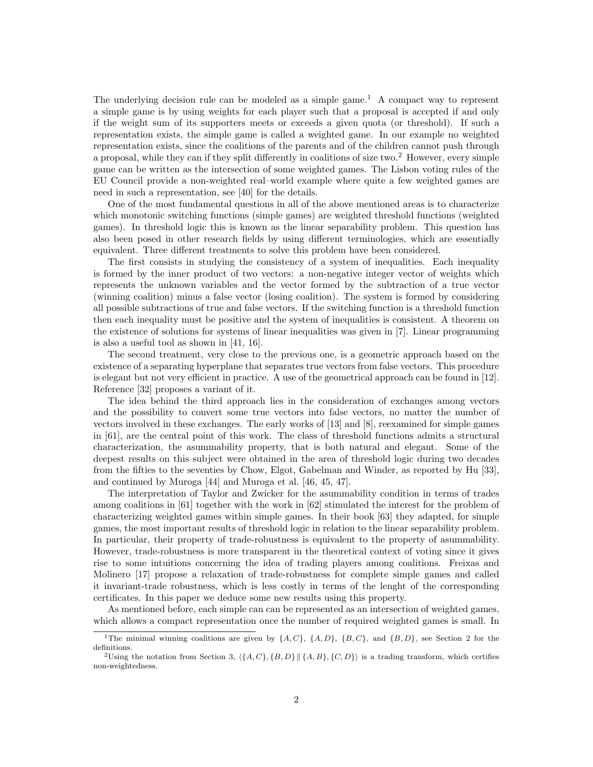The underlying decision rule can be modeled as a simple game.<sup>1</sup> A compact way to represent a simple game is by using weights for each player such that a proposal is accepted if and only if the weight sum of its supporters meets or exceeds a given quota (or threshold). If such a representation exists, the simple game is called a weighted game. In our example no weighted representation exists, since the coalitions of the parents and of the children cannot push through a proposal, while they can if they split differently in coalitions of size two.<sup>2</sup> However, every simple game can be written as the intersection of some weighted games. The Lisbon voting rules of the EU Council provide a non-weighted real–world example where quite a few weighted games are need in such a representation, see [40] for the details.

One of the most fundamental questions in all of the above mentioned areas is to characterize which monotonic switching functions (simple games) are weighted threshold functions (weighted games). In threshold logic this is known as the linear separability problem. This question has also been posed in other research fields by using different terminologies, which are essentially equivalent. Three different treatments to solve this problem have been considered.

The first consists in studying the consistency of a system of inequalities. Each inequality is formed by the inner product of two vectors: a non-negative integer vector of weights which represents the unknown variables and the vector formed by the subtraction of a true vector (winning coalition) minus a false vector (losing coalition). The system is formed by considering all possible subtractions of true and false vectors. If the switching function is a threshold function then each inequality must be positive and the system of inequalities is consistent. A theorem on the existence of solutions for systems of linear inequalities was given in [7]. Linear programming is also a useful tool as shown in [41, 16].

The second treatment, very close to the previous one, is a geometric approach based on the existence of a separating hyperplane that separates true vectors from false vectors. This procedure is elegant but not very efficient in practice. A use of the geometrical approach can be found in [12]. Reference [32] proposes a variant of it.

The idea behind the third approach lies in the consideration of exchanges among vectors and the possibility to convert some true vectors into false vectors, no matter the number of vectors involved in these exchanges. The early works of [13] and [8], reexamined for simple games in [61], are the central point of this work. The class of threshold functions admits a structural characterization, the asummability property, that is both natural and elegant. Some of the deepest results on this subject were obtained in the area of threshold logic during two decades from the fifties to the seventies by Chow, Elgot, Gabelman and Winder, as reported by Hu [33], and continued by Muroga [44] and Muroga et al. [46, 45, 47].

The interpretation of Taylor and Zwicker for the asummability condition in terms of trades among coalitions in [61] together with the work in [62] stimulated the interest for the problem of characterizing weighted games within simple games. In their book [63] they adapted, for simple games, the most important results of threshold logic in relation to the linear separability problem. In particular, their property of trade-robustness is equivalent to the property of asummability. However, trade-robustness is more transparent in the theoretical context of voting since it gives rise to some intuitions concerning the idea of trading players among coalitions. Freixas and Molinero [17] propose a relaxation of trade-robustness for complete simple games and called it invariant-trade robustness, which is less costly in terms of the lenght of the corresponding certificates. In this paper we deduce some new results using this property.

As mentioned before, each simple can can be represented as an intersection of weighted games, which allows a compact representation once the number of required weighted games is small. In

<sup>&</sup>lt;sup>1</sup>The minimal winning coalitions are given by  $\{A, C\}$ ,  $\{A, D\}$ ,  $\{B, C\}$ , and  $\{B, D\}$ , see Section 2 for the definitions.

<sup>&</sup>lt;sup>2</sup>Using the notation from Section 3,  $\langle \{A, C\}, \{B, D\} | \{A, B\}, \{C, D\} \rangle$  is a trading transform, which certifies non-weightedness.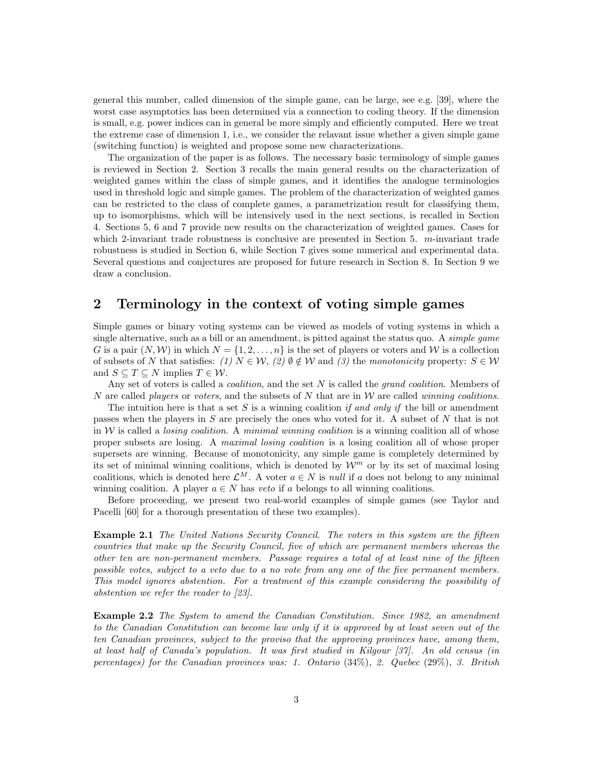general this number, called dimension of the simple game, can be large, see e.g. [39], where the worst case asymptotics has been determined via a connection to coding theory. If the dimension is small, e.g. power indices can in general be more simply and efficiently computed. Here we treat the extreme case of dimension 1, i.e., we consider the relavant issue whether a given simple game (switching function) is weighted and propose some new characterizations.

The organization of the paper is as follows. The necessary basic terminology of simple games is reviewed in Section 2. Section 3 recalls the main general results on the characterization of weighted games within the class of simple games, and it identifies the analogue terminologies used in threshold logic and simple games. The problem of the characterization of weighted games can be restricted to the class of complete games, a parametrization result for classifying them, up to isomorphisms, which will be intensively used in the next sections, is recalled in Section 4. Sections 5, 6 and 7 provide new results on the characterization of weighted games. Cases for which 2-invariant trade robustness is conclusive are presented in Section 5. m-invariant trade robustness is studied in Section 6, while Section 7 gives some numerical and experimental data. Several questions and conjectures are proposed for future research in Section 8. In Section 9 we draw a conclusion.

## 2 Terminology in the context of voting simple games

Simple games or binary voting systems can be viewed as models of voting systems in which a single alternative, such as a bill or an amendment, is pitted against the status quo. A *simple game* G is a pair  $(N, W)$  in which  $N = \{1, 2, ..., n\}$  is the set of players or voters and W is a collection of subsets of N that satisfies: (1)  $N \in W$ , (2)  $\emptyset \notin W$  and (3) the monotonicity property:  $S \in W$ and  $S \subseteq T \subseteq N$  implies  $T \in \mathcal{W}$ .

Any set of voters is called a *coalition*, and the set N is called the *grand coalition*. Members of N are called *players* or *voters*, and the subsets of N that are in W are called *winning coalitions*.

The intuition here is that a set S is a winning coalition if and only if the bill or amendment passes when the players in S are precisely the ones who voted for it. A subset of N that is not in W is called a *losing coalition*. A minimal winning coalition is a winning coalition all of whose proper subsets are losing. A maximal losing coalition is a losing coalition all of whose proper supersets are winning. Because of monotonicity, any simple game is completely determined by its set of minimal winning coalitions, which is denoted by  $\mathcal{W}^m$  or by its set of maximal losing coalitions, which is denoted here  $\mathcal{L}^M$ . A voter  $a \in N$  is *null* if a does not belong to any minimal winning coalition. A player  $a \in N$  has veto if a belongs to all winning coalitions.

Before proceeding, we present two real-world examples of simple games (see Taylor and Pacelli [60] for a thorough presentation of these two examples).

**Example 2.1** The United Nations Security Council. The voters in this system are the fifteen countries that make up the Security Council, five of which are permanent members whereas the other ten are non-permanent members. Passage requires a total of at least nine of the fifteen possible votes, subject to a veto due to a no vote from any one of the five permanent members. This model ignores abstention. For a treatment of this example considering the possibility of abstention we refer the reader to [23].

Example 2.2 The System to amend the Canadian Constitution. Since 1982, an amendment to the Canadian Constitution can become law only if it is approved by at least seven out of the ten Canadian provinces, subject to the proviso that the approving provinces have, among them, at least half of Canada's population. It was first studied in Kilgour [37]. An old census (in percentages) for the Canadian provinces was: 1. Ontario (34%), 2. Quebec (29%), 3. British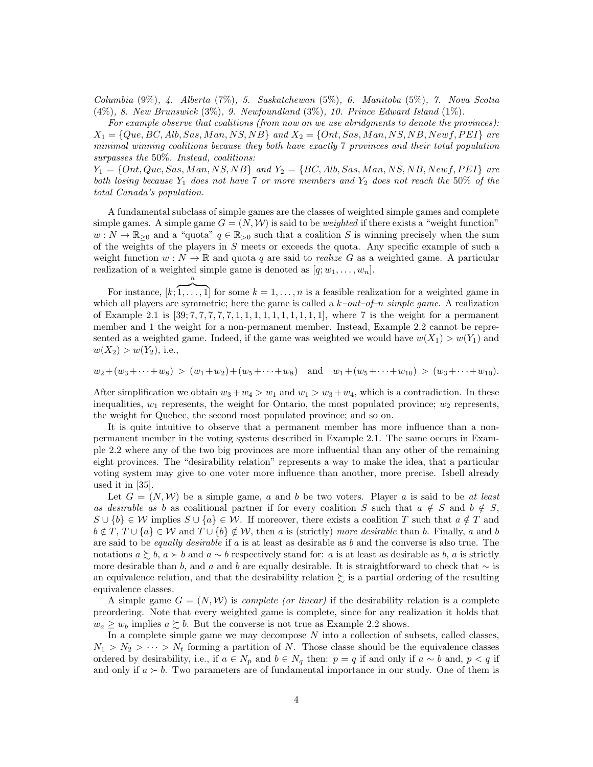Columbia (9%), 4. Alberta (7%), 5. Saskatchewan (5%), 6. Manitoba (5%), 7. Nova Scotia (4%), 8. New Brunswick (3%), 9. Newfoundland (3%), 10. Prince Edward Island (1%).

For example observe that coalitions (from now on we use abridgments to denote the provinces):  $X_1 = \{Que, BC, Alb, Sas, Man, NS, NB \}$  and  $X_2 = \{Ont, Sas, Man, NS, NB, Newf, PEI \}$  are minimal winning coalitions because they both have exactly 7 provinces and their total population surpasses the 50%. Instead, coalitions:

 $Y_1 = \{Ont, Que, Sas, Man, NS, NB\}$  and  $Y_2 = \{BC, Alb, Sas, Man, NS, NB, Newf, PEI\}$  are both losing because  $Y_1$  does not have 7 or more members and  $Y_2$  does not reach the 50% of the total Canada's population.

A fundamental subclass of simple games are the classes of weighted simple games and complete simple games. A simple game  $G = (N, W)$  is said to be *weighted* if there exists a "weight function"  $w: N \to \mathbb{R}_{\geq 0}$  and a "quota"  $q \in \mathbb{R}_{\geq 0}$  such that a coalition S is winning precisely when the sum of the weights of the players in S meets or exceeds the quota. Any specific example of such a weight function  $w : N \to \mathbb{R}$  and quota q are said to *realize G* as a weighted game. A particular realization of a weighted simple game is denoted as  $[q; w_1, \ldots, w_n]$ . n

For instance,  $[k;$  $\overline{1, \ldots, 1}$  for some  $k = 1, \ldots, n$  is a feasible realization for a weighted game in which all players are symmetric; here the game is called a  $k$ -out-of-n simple game. A realization of Example 2.1 is  $[39; 7, 7, 7, 7, 7, 7, 1, 1, 1, 1, 1, 1, 1, 1, 1, 1]$ , where 7 is the weight for a permanent member and 1 the weight for a non-permanent member. Instead, Example 2.2 cannot be represented as a weighted game. Indeed, if the game was weighted we would have  $w(X_1) > w(Y_1)$  and  $w(X_2) > w(Y_2)$ , i.e.,

 $w_2+(w_3+\cdots+w_8) > (w_1+w_2)+(w_5+\cdots+w_8)$  and  $w_1+(w_5+\cdots+w_{10}) > (w_3+\cdots+w_{10})$ .

After simplification we obtain  $w_3 + w_4 > w_1$  and  $w_1 > w_3 + w_4$ , which is a contradiction. In these inequalities,  $w_1$  represents, the weight for Ontario, the most populated province;  $w_2$  represents, the weight for Quebec, the second most populated province; and so on.

It is quite intuitive to observe that a permanent member has more influence than a nonpermanent member in the voting systems described in Example 2.1. The same occurs in Example 2.2 where any of the two big provinces are more influential than any other of the remaining eight provinces. The "desirability relation" represents a way to make the idea, that a particular voting system may give to one voter more influence than another, more precise. Isbell already used it in [35].

Let  $G = (N, W)$  be a simple game, a and b be two voters. Player a is said to be at least as desirable as b as coalitional partner if for every coalition S such that  $a \notin S$  and  $b \notin S$ ,  $S \cup \{b\} \in \mathcal{W}$  implies  $S \cup \{a\} \in \mathcal{W}$ . If moreover, there exists a coalition T such that  $a \notin T$  and  $b \notin T$ ,  $T \cup \{a\} \in W$  and  $T \cup \{b\} \notin W$ , then a is (strictly) more desirable than b. Finally, a and b are said to be *equally desirable* if  $a$  is at least as desirable as  $b$  and the converse is also true. The notations  $a \succeq b$ ,  $a \succ b$  and  $a \sim b$  respectively stand for: a is at least as desirable as b, a is strictly more desirable than b, and a and b are equally desirable. It is straightforward to check that  $\sim$  is an equivalence relation, and that the desirability relation  $\gtrsim$  is a partial ordering of the resulting equivalence classes.

A simple game  $G = (N, W)$  is *complete (or linear)* if the desirability relation is a complete preordering. Note that every weighted game is complete, since for any realization it holds that  $w_a \geq w_b$  implies  $a \succeq b$ . But the converse is not true as Example 2.2 shows.

In a complete simple game we may decompose  $N$  into a collection of subsets, called classes,  $N_1 > N_2 > \cdots > N_t$  forming a partition of N. Those classe should be the equivalence classes ordered by desirability, i.e., if  $a \in N_p$  and  $b \in N_q$  then:  $p = q$  if and only if  $a \sim b$  and,  $p < q$  if and only if  $a > b$ . Two parameters are of fundamental importance in our study. One of them is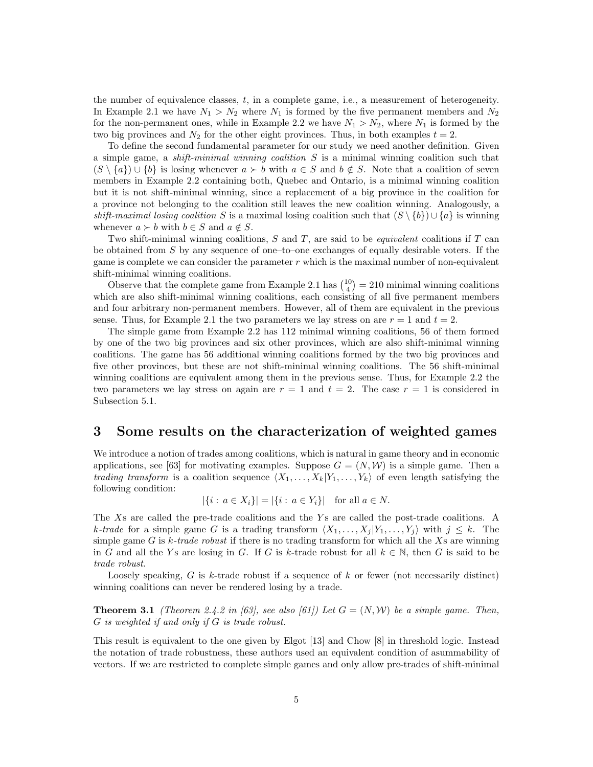the number of equivalence classes, t, in a complete game, i.e., a measurement of heterogeneity. In Example 2.1 we have  $N_1 > N_2$  where  $N_1$  is formed by the five permanent members and  $N_2$ for the non-permanent ones, while in Example 2.2 we have  $N_1 > N_2$ , where  $N_1$  is formed by the two big provinces and  $N_2$  for the other eight provinces. Thus, in both examples  $t = 2$ .

To define the second fundamental parameter for our study we need another definition. Given a simple game, a *shift-minimal winning coalition*  $S$  is a minimal winning coalition such that  $(S \setminus \{a\}) \cup \{b\}$  is losing whenever  $a \succ b$  with  $a \in S$  and  $b \notin S$ . Note that a coalition of seven members in Example 2.2 containing both, Quebec and Ontario, is a minimal winning coalition but it is not shift-minimal winning, since a replacement of a big province in the coalition for a province not belonging to the coalition still leaves the new coalition winning. Analogously, a shift-maximal losing coalition S is a maximal losing coalition such that  $(S \setminus \{b\}) \cup \{a\}$  is winning whenever  $a \succ b$  with  $b \in S$  and  $a \notin S$ .

Two shift-minimal winning coalitions,  $S$  and  $T$ , are said to be *equivalent* coalitions if  $T$  can be obtained from  $S$  by any sequence of one–to–one exchanges of equally desirable voters. If the game is complete we can consider the parameter  $r$  which is the maximal number of non-equivalent shift-minimal winning coalitions.

Observe that the complete game from Example 2.1 has  $\binom{10}{4} = 210$  minimal winning coalitions which are also shift-minimal winning coalitions, each consisting of all five permanent members and four arbitrary non-permanent members. However, all of them are equivalent in the previous sense. Thus, for Example 2.1 the two parameters we lay stress on are  $r = 1$  and  $t = 2$ .

The simple game from Example 2.2 has 112 minimal winning coalitions, 56 of them formed by one of the two big provinces and six other provinces, which are also shift-minimal winning coalitions. The game has 56 additional winning coalitions formed by the two big provinces and five other provinces, but these are not shift-minimal winning coalitions. The 56 shift-minimal winning coalitions are equivalent among them in the previous sense. Thus, for Example 2.2 the two parameters we lay stress on again are  $r = 1$  and  $t = 2$ . The case  $r = 1$  is considered in Subsection 5.1.

### 3 Some results on the characterization of weighted games

We introduce a notion of trades among coalitions, which is natural in game theory and in economic applications, see [63] for motivating examples. Suppose  $G = (N, W)$  is a simple game. Then a trading transform is a coalition sequence  $\langle X_1, \ldots, X_k|Y_1, \ldots, Y_k\rangle$  of even length satisfying the following condition:

$$
|\{i : a \in X_i\}| = |\{i : a \in Y_i\}|
$$
 for all  $a \in N$ .

The Xs are called the pre-trade coalitions and the Ys are called the post-trade coalitions. A k-trade for a simple game G is a trading transform  $\langle X_1, \ldots, X_j | Y_1, \ldots, Y_j \rangle$  with  $j \leq k$ . The simple game G is  $k$ -trade robust if there is no trading transform for which all the Xs are winning in G and all the Ys are losing in G. If G is k-trade robust for all  $k \in \mathbb{N}$ , then G is said to be trade robust.

Loosely speaking,  $G$  is  $k$ -trade robust if a sequence of  $k$  or fewer (not necessarily distinct) winning coalitions can never be rendered losing by a trade.

**Theorem 3.1** (Theorem 2.4.2 in [63], see also [61]) Let  $G = (N, W)$  be a simple game. Then, G is weighted if and only if G is trade robust.

This result is equivalent to the one given by Elgot [13] and Chow [8] in threshold logic. Instead the notation of trade robustness, these authors used an equivalent condition of asummability of vectors. If we are restricted to complete simple games and only allow pre-trades of shift-minimal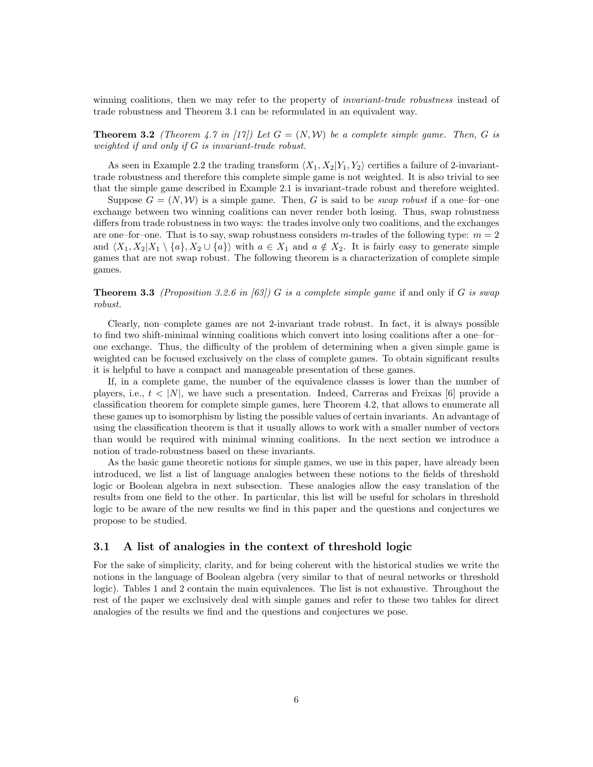winning coalitions, then we may refer to the property of *invariant-trade robustness* instead of trade robustness and Theorem 3.1 can be reformulated in an equivalent way.

**Theorem 3.2** (Theorem 4.7 in [17]) Let  $G = (N, W)$  be a complete simple game. Then, G is weighted if and only if G is invariant-trade robust.

As seen in Example 2.2 the trading transform  $\langle X_1, X_2|Y_1, Y_2 \rangle$  certifies a failure of 2-invarianttrade robustness and therefore this complete simple game is not weighted. It is also trivial to see that the simple game described in Example 2.1 is invariant-trade robust and therefore weighted.

Suppose  $G = (N, W)$  is a simple game. Then, G is said to be *swap robust* if a one-for-one exchange between two winning coalitions can never render both losing. Thus, swap robustness differs from trade robustness in two ways: the trades involve only two coalitions, and the exchanges are one–for–one. That is to say, swap robustness considers m-trades of the following type:  $m = 2$ and  $\langle X_1, X_2 | X_1 \setminus \{a\}, X_2 \cup \{a\} \rangle$  with  $a \in X_1$  and  $a \notin X_2$ . It is fairly easy to generate simple games that are not swap robust. The following theorem is a characterization of complete simple games.

#### **Theorem 3.3** (Proposition 3.2.6 in [63]) G is a complete simple game if and only if G is swap robust.

Clearly, non–complete games are not 2-invariant trade robust. In fact, it is always possible to find two shift-minimal winning coalitions which convert into losing coalitions after a one–for– one exchange. Thus, the difficulty of the problem of determining when a given simple game is weighted can be focused exclusively on the class of complete games. To obtain significant results it is helpful to have a compact and manageable presentation of these games.

If, in a complete game, the number of the equivalence classes is lower than the number of players, i.e.,  $t \langle N \rangle$ , we have such a presentation. Indeed, Carreras and Freixas [6] provide a classification theorem for complete simple games, here Theorem 4.2, that allows to enumerate all these games up to isomorphism by listing the possible values of certain invariants. An advantage of using the classification theorem is that it usually allows to work with a smaller number of vectors than would be required with minimal winning coalitions. In the next section we introduce a notion of trade-robustness based on these invariants.

As the basic game theoretic notions for simple games, we use in this paper, have already been introduced, we list a list of language analogies between these notions to the fields of threshold logic or Boolean algebra in next subsection. These analogies allow the easy translation of the results from one field to the other. In particular, this list will be useful for scholars in threshold logic to be aware of the new results we find in this paper and the questions and conjectures we propose to be studied.

#### 3.1 A list of analogies in the context of threshold logic

For the sake of simplicity, clarity, and for being coherent with the historical studies we write the notions in the language of Boolean algebra (very similar to that of neural networks or threshold logic). Tables 1 and 2 contain the main equivalences. The list is not exhaustive. Throughout the rest of the paper we exclusively deal with simple games and refer to these two tables for direct analogies of the results we find and the questions and conjectures we pose.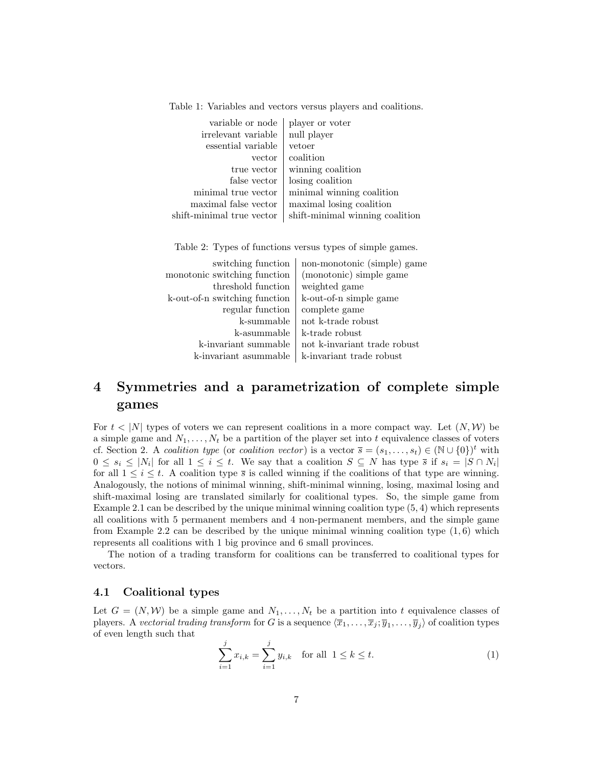| player or voter<br>null player  |
|---------------------------------|
| vetoer                          |
| coalition                       |
| winning coalition               |
| losing coalition                |
| minimal winning coalition       |
| maximal losing coalition        |
| shift-minimal winning coalition |
|                                 |

Table 1: Variables and vectors versus players and coalitions.

Table 2: Types of functions versus types of simple games.

| switching function            | non-monotonic (simple) game  |
|-------------------------------|------------------------------|
| monotonic switching function  | (monotonic) simple game      |
| threshold function            | weighted game                |
| k-out-of-n switching function | k-out-of-n simple game       |
| regular function              | complete game                |
| k-summable                    | not k-trade robust           |
| k-asummable                   | k-trade robust               |
| k-invariant summable          | not k-invariant trade robust |
| k-invariant asummable         | k-invariant trade robust     |

## 4 Symmetries and a parametrization of complete simple games

For  $t < |N|$  types of voters we can represent coalitions in a more compact way. Let  $(N, W)$  be a simple game and  $N_1, \ldots, N_t$  be a partition of the player set into t equivalence classes of voters cf. Section 2. A coalition type (or coalition vector) is a vector  $\overline{s} = (s_1, \ldots, s_t) \in (\mathbb{N} \cup \{0\})^t$  with  $0 \leq s_i \leq |N_i|$  for all  $1 \leq i \leq t$ . We say that a coalition  $S \subseteq N$  has type  $\overline{s}$  if  $s_i = |S \cap N_i|$ for all  $1 \leq i \leq t$ . A coalition type  $\overline{s}$  is called winning if the coalitions of that type are winning. Analogously, the notions of minimal winning, shift-minimal winning, losing, maximal losing and shift-maximal losing are translated similarly for coalitional types. So, the simple game from Example 2.1 can be described by the unique minimal winning coalition type  $(5, 4)$  which represents all coalitions with 5 permanent members and 4 non-permanent members, and the simple game from Example 2.2 can be described by the unique minimal winning coalition type  $(1, 6)$  which represents all coalitions with 1 big province and 6 small provinces.

The notion of a trading transform for coalitions can be transferred to coalitional types for vectors.

#### 4.1 Coalitional types

Let  $G = (N, W)$  be a simple game and  $N_1, \ldots, N_t$  be a partition into t equivalence classes of players. A vectorial trading transform for G is a sequence  $\langle \overline{x}_1,\ldots,\overline{x}_j; \overline{y}_1,\ldots,\overline{y}_j\rangle$  of coalition types of even length such that

$$
\sum_{i=1}^{j} x_{i,k} = \sum_{i=1}^{j} y_{i,k} \quad \text{for all } 1 \le k \le t.
$$
 (1)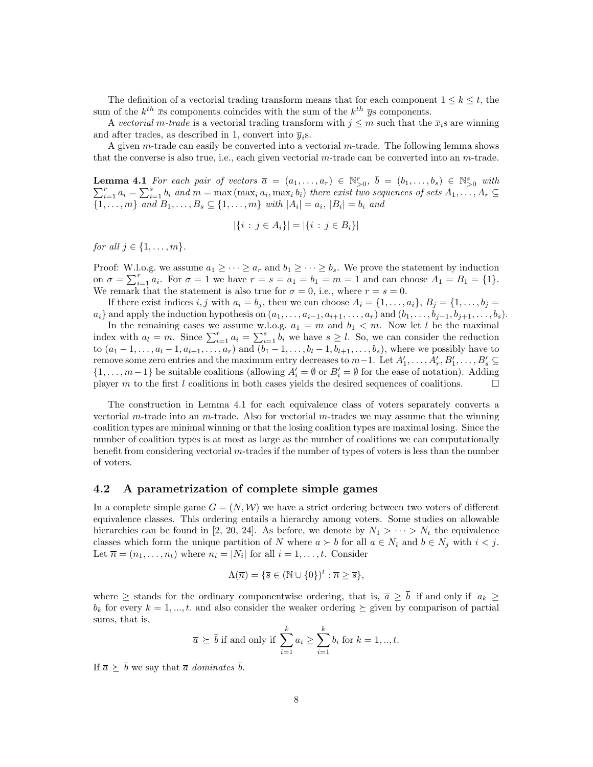The definition of a vectorial trading transform means that for each component  $1 \leq k \leq t$ , the sum of the  $k^{th}$   $\overline{x}$  s components coincides with the sum of the  $k^{th}$   $\overline{y}$  s components.

A vectorial m-trade is a vectorial trading transform with  $j \leq m$  such that the  $\bar{x}_i$  are winning and after trades, as described in 1, convert into  $\overline{y}_i$ s.

A given m-trade can easily be converted into a vectorial m-trade. The following lemma shows that the converse is also true, i.e., each given vectorial  $m$ -trade can be converted into an  $m$ -trade.

**Lemma 4.1** For each pair of vectors  $\overline{a} = (a_1, \ldots, a_r) \in \mathbb{N}_{>0}^r$ ,  $\overline{b} = (b_1, \ldots, b_s) \in \mathbb{N}_{>0}^s$  with  $\sum_{i=1}^r a_i = \sum_{i=1}^s b_i$  and  $m = \max(\max_i a_i, \max_i b_i)$  there exist two sequences of sets  $A_1, \ldots, A_r \subseteq$  $\{1, \ldots, m\}$  and  $B_1, \ldots, B_s \subseteq \{1, \ldots, m\}$  with  $|A_i| = a_i$ ,  $|B_i| = b_i$  and

$$
|\{i : j \in A_i\}| = |\{i : j \in B_i\}|
$$

for all  $j \in \{1, \ldots, m\}$ .

Proof: W.l.o.g. we assume  $a_1 \geq \cdots \geq a_r$  and  $b_1 \geq \cdots \geq b_s$ . We prove the statement by induction on  $\sigma = \sum_{i=1}^r a_i$ . For  $\sigma = 1$  we have  $r = s = a_1 = b_1 = m = 1$  and can choose  $A_1 = B_1 = \{1\}$ . We remark that the statement is also true for  $\sigma = 0$ , i.e., where  $r = s = 0$ .

If there exist indices i, j with  $a_i = b_j$ , then we can choose  $A_i = \{1, \ldots, a_i\}, B_j = \{1, \ldots, b_j = 1\}$  $a_i$ } and apply the induction hypothesis on  $(a_1, \ldots, a_{i-1}, a_{i+1}, \ldots, a_r)$  and  $(b_1, \ldots, b_{j-1}, b_{j+1}, \ldots, b_s)$ .

In the remaining cases we assume w.l.o.g.  $a_1 = m$  and  $b_1 < m$ . Now let l be the maximal index with  $a_l = m$ . Since  $\sum_{i=1}^r a_i = \sum_{i=1}^s b_i$  we have  $s \geq l$ . So, we can consider the reduction to  $(a_1 - 1, \ldots, a_l - 1, a_{l+1}, \ldots, a_r)$  and  $(b_1 - 1, \ldots, b_l - 1, b_{l+1}, \ldots, b_s)$ , where we possibly have to remove some zero entries and the maximum entry decreases to  $m-1$ . Let  $A'_1, \ldots, A'_r, B'_1, \ldots, B'_s \subseteq$  $\{1,\ldots,m-1\}$  be suitable coalitions (allowing  $A_i' = \emptyset$  or  $B_i' = \emptyset$  for the ease of notation). Adding player m to the first l coalitions in both cases yields the desired sequences of coalitions.

The construction in Lemma 4.1 for each equivalence class of voters separately converts a vectorial m-trade into an m-trade. Also for vectorial m-trades we may assume that the winning coalition types are minimal winning or that the losing coalition types are maximal losing. Since the number of coalition types is at most as large as the number of coalitions we can computationally benefit from considering vectorial  $m$ -trades if the number of types of voters is less than the number of voters.

#### 4.2 A parametrization of complete simple games

In a complete simple game  $G = (N, W)$  we have a strict ordering between two voters of different equivalence classes. This ordering entails a hierarchy among voters. Some studies on allowable hierarchies can be found in [2, 20, 24]. As before, we denote by  $N_1 > \cdots > N_t$  the equivalence classes which form the unique partition of N where  $a \succ b$  for all  $a \in N_i$  and  $b \in N_j$  with  $i < j$ . Let  $\overline{n} = (n_1, \ldots, n_t)$  where  $n_i = |N_i|$  for all  $i = 1, \ldots, t$ . Consider

$$
\Lambda(\overline{n}) = \{ \overline{s} \in (\mathbb{N} \cup \{0\})^t : \overline{n} \ge \overline{s} \},
$$

where  $\geq$  stands for the ordinary componentwise ordering, that is,  $\bar{a} \geq \bar{b}$  if and only if  $a_k \geq$  $b_k$  for every  $k = 1, ..., t$ . and also consider the weaker ordering  $\succeq$  given by comparison of partial sums, that is,

$$
\overline{a} \succeq \overline{b}
$$
 if and only if  $\sum_{i=1}^{k} a_i \ge \sum_{i=1}^{k} b_i$  for  $k = 1, ..., t$ .

If  $\overline{a} \succeq \overline{b}$  we say that  $\overline{a}$  dominates  $\overline{b}$ .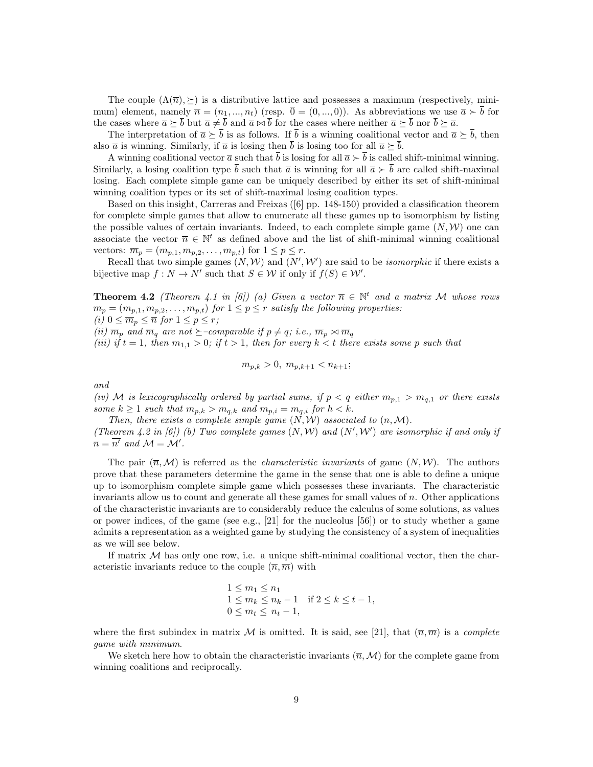The couple  $(\Lambda(\overline{n}), \geq)$  is a distributive lattice and possesses a maximum (respectively, minimum) element, namely  $\overline{n} = (n_1, ..., n_t)$  (resp.  $\overline{0} = (0, ..., 0)$ ). As abbreviations we use  $\overline{a} \succ \overline{b}$  for the cases where  $\overline{a} \succeq \overline{b}$  but  $\overline{a} \neq \overline{b}$  and  $\overline{a} \bowtie \overline{b}$  for the cases where neither  $\overline{a} \succeq \overline{b}$  nor  $\overline{b} \succeq \overline{a}$ .

The interpretation of  $\bar{a} \succeq \bar{b}$  is as follows. If  $\bar{b}$  is a winning coalitional vector and  $\bar{a} \succeq \bar{b}$ , then also  $\bar{a}$  is winning. Similarly, if  $\bar{a}$  is losing then  $\bar{b}$  is losing too for all  $\bar{a} \succeq \bar{b}$ .

A winning coalitional vector  $\bar{a}$  such that  $\bar{b}$  is losing for all  $\bar{a} \succ \bar{b}$  is called shift-minimal winning. Similarly, a losing coalition type  $\bar{b}$  such that  $\bar{a}$  is winning for all  $\bar{a} > \bar{b}$  are called shift-maximal losing. Each complete simple game can be uniquely described by either its set of shift-minimal winning coalition types or its set of shift-maximal losing coalition types.

Based on this insight, Carreras and Freixas ([6] pp. 148-150) provided a classification theorem for complete simple games that allow to enumerate all these games up to isomorphism by listing the possible values of certain invariants. Indeed, to each complete simple game  $(N, W)$  one can associate the vector  $\bar{n} \in \mathbb{N}^t$  as defined above and the list of shift-minimal winning coalitional vectors:  $\overline{m}_p = (m_{p,1}, m_{p,2}, \ldots, m_{p,t})$  for  $1 \leq p \leq r$ .

Recall that two simple games  $(N, W)$  and  $(N', W')$  are said to be *isomorphic* if there exists a bijective map  $f: N \to N'$  such that  $S \in \mathcal{W}$  if only if  $f(S) \in \mathcal{W}'$ .

**Theorem 4.2** (Theorem 4.1 in [6]) (a) Given a vector  $\overline{n} \in \mathbb{N}^t$  and a matrix M whose rows  $\overline{m}_p = (m_{p,1}, m_{p,2}, \ldots, m_{p,t})$  for  $1 \leq p \leq r$  satisfy the following properties: (i)  $0 \leq \overline{m}_p \leq \overline{n}$  for  $1 \leq p \leq r$ ;

(ii)  $\overline{m}_p$  and  $\overline{m}_q$  are not  $\succeq$ -comparable if  $p \neq q$ ; i.e.,  $\overline{m}_p \bowtie \overline{m}_q$ 

(iii) if  $t = 1$ , then  $m_{1,1} > 0$ ; if  $t > 1$ , then for every  $k < t$  there exists some p such that

$$
m_{p,k} > 0, \; m_{p,k+1} < n_{k+1};
$$

and

(iv) M is lexicographically ordered by partial sums, if  $p < q$  either  $m_{p,1} > m_{q,1}$  or there exists some  $k \geq 1$  such that  $m_{p,k} > m_{q,k}$  and  $m_{p,i} = m_{q,i}$  for  $h < k$ .

Then, there exists a complete simple game  $(N, W)$  associated to  $(\overline{n}, M)$ . (Theorem 4.2 in [6]) (b) Two complete games  $(N, W)$  and  $(N', W')$  are isomorphic if and only if  $\overline{n} = \overline{n'}$  and  $\mathcal{M} = \mathcal{M'}$ .

The pair  $(\overline{n},\mathcal{M})$  is referred as the *characteristic invariants* of game  $(N,\mathcal{W})$ . The authors prove that these parameters determine the game in the sense that one is able to define a unique up to isomorphism complete simple game which possesses these invariants. The characteristic invariants allow us to count and generate all these games for small values of n. Other applications of the characteristic invariants are to considerably reduce the calculus of some solutions, as values or power indices, of the game (see e.g., [21] for the nucleolus [56]) or to study whether a game admits a representation as a weighted game by studying the consistency of a system of inequalities as we will see below.

If matrix  $M$  has only one row, i.e. a unique shift-minimal coalitional vector, then the characteristic invariants reduce to the couple  $(\overline{n}, \overline{m})$  with

$$
\begin{array}{l}\n1 \le m_1 \le n_1 \\
1 \le m_k \le n_k - 1 \quad \text{if } 2 \le k \le t - 1, \\
0 \le m_t \le n_t - 1,\n\end{array}
$$

where the first subindex in matrix M is omitted. It is said, see [21], that  $(\overline{n}, \overline{m})$  is a *complete* game with minimum.

We sketch here how to obtain the characteristic invariants  $(\bar{n},M)$  for the complete game from winning coalitions and reciprocally.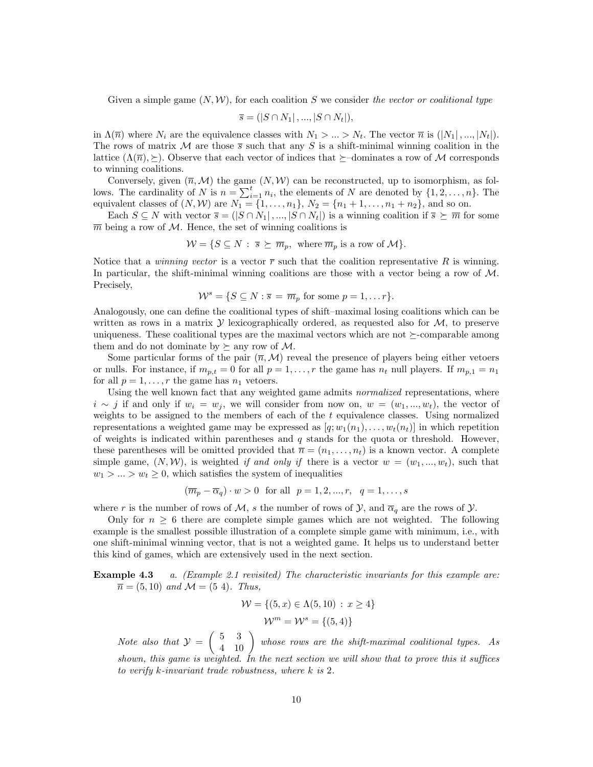Given a simple game  $(N, W)$ , for each coalition S we consider the vector or coalitional type

$$
\overline{s} = (|S \cap N_1|, ..., |S \cap N_t|),
$$

in  $\Lambda(\overline{n})$  where  $N_i$  are the equivalence classes with  $N_1 > ... > N_t$ . The vector  $\overline{n}$  is  $(|N_1|, ..., |N_t|)$ . The rows of matrix M are those  $\bar{s}$  such that any S is a shift-minimal winning coalition in the lattice  $(\Lambda(\overline{n}), \geq)$ . Observe that each vector of indices that  $\succeq$ -dominates a row of M corresponds to winning coalitions.

Conversely, given  $(\bar{n}, \mathcal{M})$  the game  $(N, \mathcal{W})$  can be reconstructed, up to isomorphism, as follows. The cardinality of N is  $n = \sum_{i=1}^{t} n_i$ , the elements of N are denoted by  $\{1, 2, \ldots, n\}$ . The equivalent classes of  $(N, W)$  are  $N_1 = \{1, ..., n_1\}$ ,  $N_2 = \{n_1 + 1, ..., n_1 + n_2\}$ , and so on.

Each  $S \subseteq N$  with vector  $\overline{s} = (|S \cap N_1|, ..., |S \cap N_t|)$  is a winning coalition if  $\overline{s} \succeq \overline{m}$  for some  $\overline{m}$  being a row of M. Hence, the set of winning coalitions is

$$
\mathcal{W} = \{ S \subseteq N : \overline{s} \succeq \overline{m}_p, \text{ where } \overline{m}_p \text{ is a row of } \mathcal{M} \}.
$$

Notice that a *winning vector* is a vector  $\bar{r}$  such that the coalition representative R is winning. In particular, the shift-minimal winning coalitions are those with a vector being a row of  $M$ . Precisely,

$$
\mathcal{W}^s = \{ S \subseteq N : \overline{s} = \overline{m}_p \text{ for some } p = 1, \dots r \}.
$$

Analogously, one can define the coalitional types of shift–maximal losing coalitions which can be written as rows in a matrix  $\mathcal Y$  lexicographically ordered, as requested also for  $\mathcal M$ , to preserve uniqueness. These coalitional types are the maximal vectors which are not  $\succeq$ -comparable among them and do not dominate by  $\succeq$  any row of M.

Some particular forms of the pair  $(\overline{n},M)$  reveal the presence of players being either vetoers or nulls. For instance, if  $m_{p,t} = 0$  for all  $p = 1, \ldots, r$  the game has  $n_t$  null players. If  $m_{p,1} = n_1$ for all  $p = 1, \ldots, r$  the game has  $n_1$  vetoers.

Using the well known fact that any weighted game admits *normalized* representations, where  $i \sim j$  if and only if  $w_i = w_j$ , we will consider from now on,  $w = (w_1, ..., w_t)$ , the vector of weights to be assigned to the members of each of the  $t$  equivalence classes. Using normalized representations a weighted game may be expressed as  $[q; w_1(n_1), \ldots, w_t(n_t)]$  in which repetition of weights is indicated within parentheses and  $q$  stands for the quota or threshold. However, these parentheses will be omitted provided that  $\bar{n} = (n_1, \ldots, n_t)$  is a known vector. A complete simple game,  $(N, W)$ , is weighted if and only if there is a vector  $w = (w_1, ..., w_t)$ , such that  $w_1 > ... > w_t \geq 0$ , which satisfies the system of inequalities

$$
(\overline{m}_p - \overline{\alpha}_q) \cdot w > 0
$$
 for all  $p = 1, 2, ..., r, q = 1, ..., s$ 

where r is the number of rows of M, s the number of rows of  $\mathcal{Y}$ , and  $\overline{\alpha}_q$  are the rows of  $\mathcal{Y}$ .

Only for  $n \geq 6$  there are complete simple games which are not weighted. The following example is the smallest possible illustration of a complete simple game with minimum, i.e., with one shift-minimal winning vector, that is not a weighted game. It helps us to understand better this kind of games, which are extensively used in the next section.

Example 4.3 a. (Example 2.1 revisited) The characteristic invariants for this example are:  $\bar{n} = (5, 10)$  and  $\mathcal{M} = (5, 4)$ . Thus,

$$
\mathcal{W} = \{(5, x) \in \Lambda(5, 10) : x \ge 4\}
$$

$$
\mathcal{W}^m = \mathcal{W}^s = \{(5, 4)\}
$$

Note also that  $\mathcal{Y} = \begin{pmatrix} 5 & 3 \\ 4 & 10 \end{pmatrix}$  whose rows are the shift-maximal coalitional types. As shown, this game is weighted. In the next section we will show that to prove this it suffices to verify k-invariant trade robustness, where k is 2.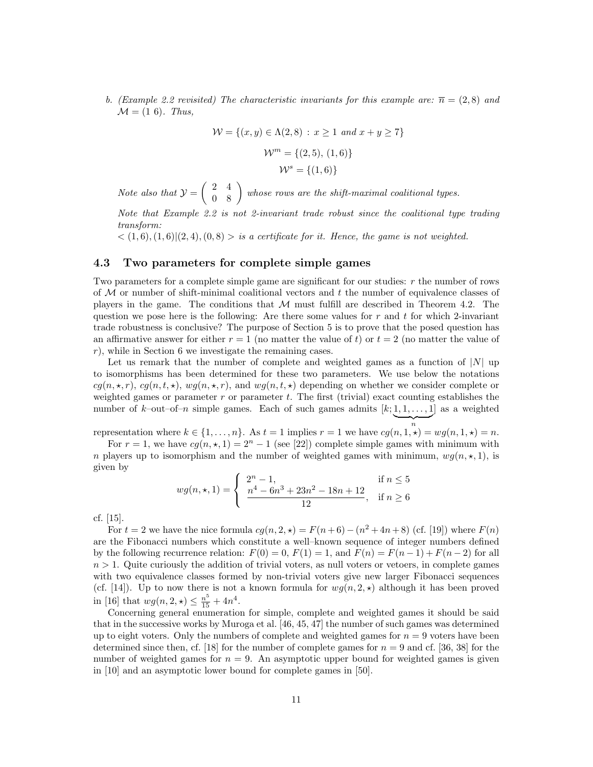b. (Example 2.2 revisited) The characteristic invariants for this example are:  $\bar{n} = (2, 8)$  and  $\mathcal{M} = (1 6)$ . Thus,

$$
\mathcal{W} = \{(x, y) \in \Lambda(2, 8) : x \ge 1 \text{ and } x + y \ge 7\}
$$

$$
\mathcal{W}^m = \{(2, 5), (1, 6)\}
$$

$$
\mathcal{W}^s = \{(1, 6)\}
$$

Note also that  $\mathcal{Y} = \begin{pmatrix} 2 & 4 \\ 0 & 8 \end{pmatrix}$  whose rows are the shift-maximal coalitional types.

Note that Example 2.2 is not 2-invariant trade robust since the coalitional type trading transform:

 $\langle (1,6), (1,6) | (2,4), (0,8) \rangle$  is a certificate for it. Hence, the game is not weighted.

#### 4.3 Two parameters for complete simple games

Two parameters for a complete simple game are significant for our studies: r the number of rows of  $M$  or number of shift-minimal coalitional vectors and  $t$  the number of equivalence classes of players in the game. The conditions that  $M$  must fulfill are described in Theorem 4.2. The question we pose here is the following: Are there some values for  $r$  and  $t$  for which 2-invariant trade robustness is conclusive? The purpose of Section 5 is to prove that the posed question has an affirmative answer for either  $r = 1$  (no matter the value of t) or  $t = 2$  (no matter the value of r), while in Section 6 we investigate the remaining cases.

Let us remark that the number of complete and weighted games as a function of  $|N|$  up to isomorphisms has been determined for these two parameters. We use below the notations  $cq(n, \star, r)$ ,  $cq(n, t, \star)$ ,  $wq(n, \star, r)$ , and  $wq(n, t, \star)$  depending on whether we consider complete or weighted games or parameter  $r$  or parameter  $t$ . The first (trivial) exact counting establishes the number of k-out-of-n simple games. Each of such games admits  $[k; 1, 1, \ldots, 1]$  as a weighted

representation where  $k \in \{1, \ldots, n\}$ . As  $t = 1$  implies  $r = 1$  we have  $cg(n, 1, \star) = wg(n, 1, \star) = n$ .

 $\overbrace{n}$ 

For  $r = 1$ , we have  $cg(n, \star, 1) = 2<sup>n</sup> - 1$  (see [22]) complete simple games with minimum with n players up to isomorphism and the number of weighted games with minimum,  $wg(n, \star, 1)$ , is given by

$$
wg(n,\star,1) = \begin{cases} 2^{n} - 1, & \text{if } n \leq 5\\ \frac{n^{4} - 6n^{3} + 23n^{2} - 18n + 12}{12}, & \text{if } n \geq 6 \end{cases}
$$

cf. [15].

For  $t = 2$  we have the nice formula  $cg(n, 2, \star) = F(n+6) - (n^2 + 4n + 8)$  (cf. [19]) where  $F(n)$ are the Fibonacci numbers which constitute a well–known sequence of integer numbers defined by the following recurrence relation:  $F(0) = 0$ ,  $F(1) = 1$ , and  $F(n) = F(n-1) + F(n-2)$  for all  $n > 1$ . Quite curiously the addition of trivial voters, as null voters or vetoers, in complete games with two equivalence classes formed by non-trivial voters give new larger Fibonacci sequences (cf. [14]). Up to now there is not a known formula for  $wg(n, 2, \star)$  although it has been proved in [16] that  $wg(n, 2, \star) \leq \frac{n^5}{15} + 4n^4$ .

Concerning general enumeration for simple, complete and weighted games it should be said that in the successive works by Muroga et al. [46, 45, 47] the number of such games was determined up to eight voters. Only the numbers of complete and weighted games for  $n = 9$  voters have been determined since then, cf. [18] for the number of complete games for  $n = 9$  and cf. [36, 38] for the number of weighted games for  $n = 9$ . An asymptotic upper bound for weighted games is given in [10] and an asymptotic lower bound for complete games in [50].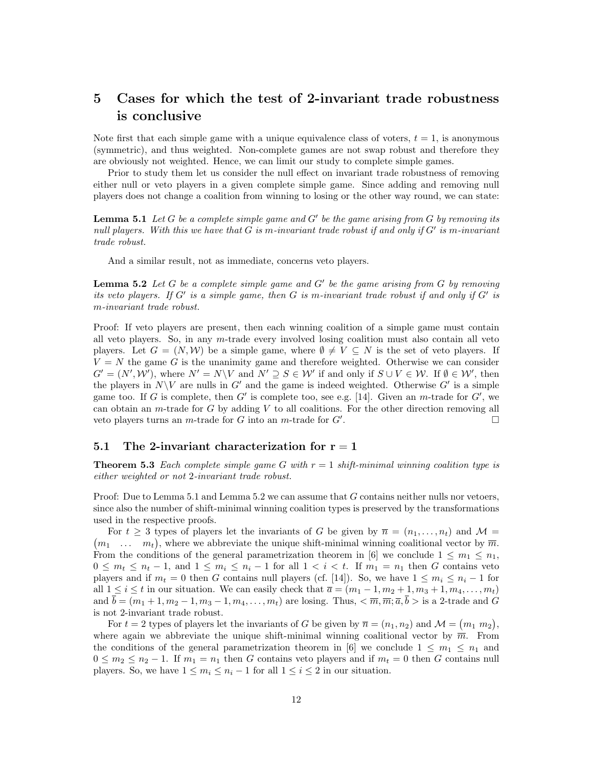## 5 Cases for which the test of 2-invariant trade robustness is conclusive

Note first that each simple game with a unique equivalence class of voters,  $t = 1$ , is anonymous (symmetric), and thus weighted. Non-complete games are not swap robust and therefore they are obviously not weighted. Hence, we can limit our study to complete simple games.

Prior to study them let us consider the null effect on invariant trade robustness of removing either null or veto players in a given complete simple game. Since adding and removing null players does not change a coalition from winning to losing or the other way round, we can state:

**Lemma 5.1** Let G be a complete simple game and  $G'$  be the game arising from G by removing its null players. With this we have that  $G$  is m-invariant trade robust if and only if  $G'$  is m-invariant trade robust.

And a similar result, not as immediate, concerns veto players.

**Lemma 5.2** Let G be a complete simple game and  $G'$  be the game arising from G by removing its veto players. If  $G'$  is a simple game, then  $G$  is m-invariant trade robust if and only if  $G'$  is m-invariant trade robust.

Proof: If veto players are present, then each winning coalition of a simple game must contain all veto players. So, in any m-trade every involved losing coalition must also contain all veto players. Let  $G = (N, W)$  be a simple game, where  $\emptyset \neq V \subseteq N$  is the set of veto players. If  $V = N$  the game G is the unanimity game and therefore weighted. Otherwise we can consider  $G' = (N', W')$ , where  $N' = N \backslash V$  and  $N' \supseteq S \in W'$  if and only if  $S \cup V \in W$ . If  $\emptyset \in W'$ , then the players in  $N\setminus V$  are nulls in G' and the game is indeed weighted. Otherwise G' is a simple game too. If G is complete, then G' is complete too, see e.g. [14]. Given an  $m$ -trade for G', we can obtain an m-trade for  $G$  by adding  $V$  to all coalitions. For the other direction removing all veto players turns an m-trade for  $G$  into an m-trade for  $G'$ . .

#### 5.1 The 2-invariant characterization for  $r = 1$

**Theorem 5.3** Each complete simple game G with  $r = 1$  shift-minimal winning coalition type is either weighted or not 2-invariant trade robust.

Proof: Due to Lemma  $5.1$  and Lemma  $5.2$  we can assume that  $G$  contains neither nulls nor vetoers, since also the number of shift-minimal winning coalition types is preserved by the transformations used in the respective proofs.

For  $t \geq 3$  types of players let the invariants of G be given by  $\overline{n} = (n_1, \ldots, n_t)$  and  $\mathcal{M} =$  $(m_1 \ldots m_t)$ , where we abbreviate the unique shift-minimal winning coalitional vector by  $\overline{m}$ . From the conditions of the general parametrization theorem in [6] we conclude  $1 \leq m_1 \leq n_1$ ,  $0 \leq m_t \leq n_t - 1$ , and  $1 \leq m_i \leq n_i - 1$  for all  $1 < i < t$ . If  $m_1 = n_1$  then G contains veto players and if  $m_t = 0$  then G contains null players (cf. [14]). So, we have  $1 \leq m_i \leq n_i - 1$  for all  $1 \leq i \leq t$  in our situation. We can easily check that  $\overline{a} = (m_1 - 1, m_2 + 1, m_3 + 1, m_4, \ldots, m_t)$ and  $\overline{b} = (m_1 + 1, m_2 - 1, m_3 - 1, m_4, \dots, m_t)$  are losing. Thus,  $\langle \overline{m}, \overline{m}, \overline{a}, \overline{b} \rangle$  is a 2-trade and G is not 2-invariant trade robust.

For  $t = 2$  types of players let the invariants of G be given by  $\bar{n} = (n_1, n_2)$  and  $\mathcal{M} = (m_1, m_2)$ , where again we abbreviate the unique shift-minimal winning coalitional vector by  $\overline{m}$ . From the conditions of the general parametrization theorem in [6] we conclude  $1 \leq m_1 \leq n_1$  and  $0 \leq m_2 \leq n_2 - 1$ . If  $m_1 = n_1$  then G contains veto players and if  $m_t = 0$  then G contains null players. So, we have  $1 \leq m_i \leq n_i - 1$  for all  $1 \leq i \leq 2$  in our situation.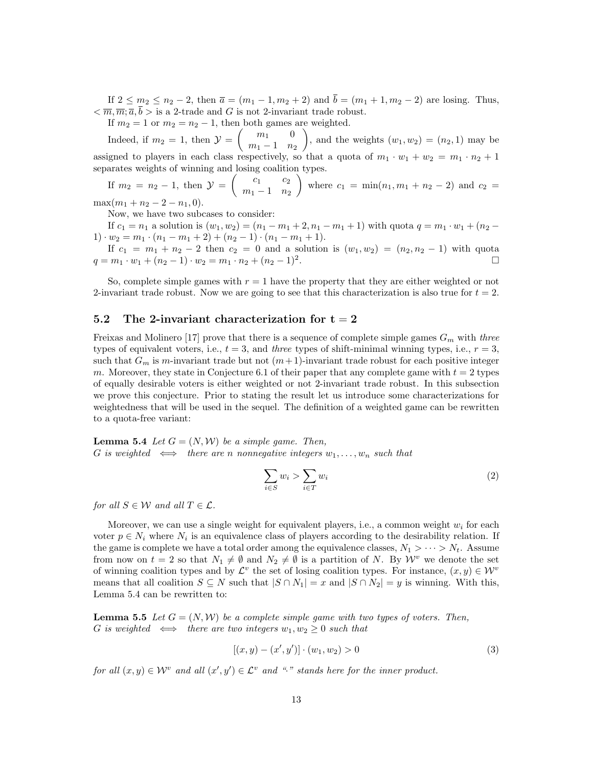If  $2 \le m_2 \le n_2 - 2$ , then  $\bar{a} = (m_1 - 1, m_2 + 2)$  and  $\bar{b} = (m_1 + 1, m_2 - 2)$  are losing. Thus,  $\langle \overline{m}, \overline{m}; \overline{a}, \overline{b} \rangle$  is a 2-trade and G is not 2-invariant trade robust.

If  $m_2 = 1$  or  $m_2 = n_2 - 1$ , then both games are weighted.

Indeed, if  $m_2 = 1$ , then  $\mathcal{Y} = \begin{pmatrix} m_1 & 0 \\ m_1 & m_2 \end{pmatrix}$  $m_1 - 1$   $n_2$ ), and the weights  $(w_1, w_2) = (n_2, 1)$  may be assigned to players in each class respectively, so that a quota of  $m_1 \cdot w_1 + w_2 = m_1 \cdot n_2 + 1$ separates weights of winning and losing coalition types.

If 
$$
m_2 = n_2 - 1
$$
, then  $\mathcal{Y} = \begin{pmatrix} c_1 & c_2 \\ m_1 - 1 & n_2 \end{pmatrix}$  where  $c_1 = \min(n_1, m_1 + n_2 - 2)$  and  $c_2 = \frac{c_1}{m_1 + n_2 - 2 - n_1}$ 

 $\max(m_1+n_2-2-n_1,0).$ 

Now, we have two subcases to consider:

If  $c_1 = n_1$  a solution is  $(w_1, w_2) = (n_1 - m_1 + 2, n_1 - m_1 + 1)$  with quota  $q = m_1 \cdot w_1 + (n_2 -$ 1) ·  $w_2 = m_1 \cdot (n_1 - m_1 + 2) + (n_2 - 1) \cdot (n_1 - m_1 + 1).$ 

If  $c_1 = m_1 + n_2 - 2$  then  $c_2 = 0$  and a solution is  $(w_1, w_2) = (n_2, n_2 - 1)$  with quota  $q = m_1 \cdot w_1 + (n_2 - 1) \cdot w_2 = m_1 \cdot n_2 + (n_2 - 1)^2.$ .

So, complete simple games with  $r = 1$  have the property that they are either weighted or not 2-invariant trade robust. Now we are going to see that this characterization is also true for  $t = 2$ .

#### 5.2 The 2-invariant characterization for  $t = 2$

Freixas and Molinero [17] prove that there is a sequence of complete simple games  $G_m$  with three types of equivalent voters, i.e.,  $t = 3$ , and three types of shift-minimal winning types, i.e.,  $r = 3$ , such that  $G_m$  is m-invariant trade but not  $(m+1)$ -invariant trade robust for each positive integer m. Moreover, they state in Conjecture 6.1 of their paper that any complete game with  $t = 2$  types of equally desirable voters is either weighted or not 2-invariant trade robust. In this subsection we prove this conjecture. Prior to stating the result let us introduce some characterizations for weightedness that will be used in the sequel. The definition of a weighted game can be rewritten to a quota-free variant:

**Lemma 5.4** Let  $G = (N, W)$  be a simple game. Then, G is weighted  $\iff$  there are n nonnegative integers  $w_1, \ldots, w_n$  such that

$$
\sum_{i \in S} w_i > \sum_{i \in T} w_i \tag{2}
$$

for all  $S \in \mathcal{W}$  and all  $T \in \mathcal{L}$ .

Moreover, we can use a single weight for equivalent players, i.e., a common weight  $w_i$  for each voter  $p \in N_i$  where  $N_i$  is an equivalence class of players according to the desirability relation. If the game is complete we have a total order among the equivalence classes,  $N_1 > \cdots > N_t$ . Assume from now on  $t = 2$  so that  $N_1 \neq \emptyset$  and  $N_2 \neq \emptyset$  is a partition of N. By  $\mathcal{W}^v$  we denote the set of winning coalition types and by  $\mathcal{L}^v$  the set of losing coalition types. For instance,  $(x, y) \in \mathcal{W}^v$ means that all coalition  $S \subseteq N$  such that  $|S \cap N_1| = x$  and  $|S \cap N_2| = y$  is winning. With this, Lemma 5.4 can be rewritten to:

**Lemma 5.5** Let  $G = (N, W)$  be a complete simple game with two types of voters. Then, G is weighted  $\iff$  there are two integers  $w_1, w_2 \geq 0$  such that

$$
[(x, y) - (x', y')] \cdot (w_1, w_2) > 0
$$
\n(3)

for all  $(x, y) \in \mathcal{W}^v$  and all  $(x', y') \in \mathcal{L}^v$  and "·" stands here for the inner product.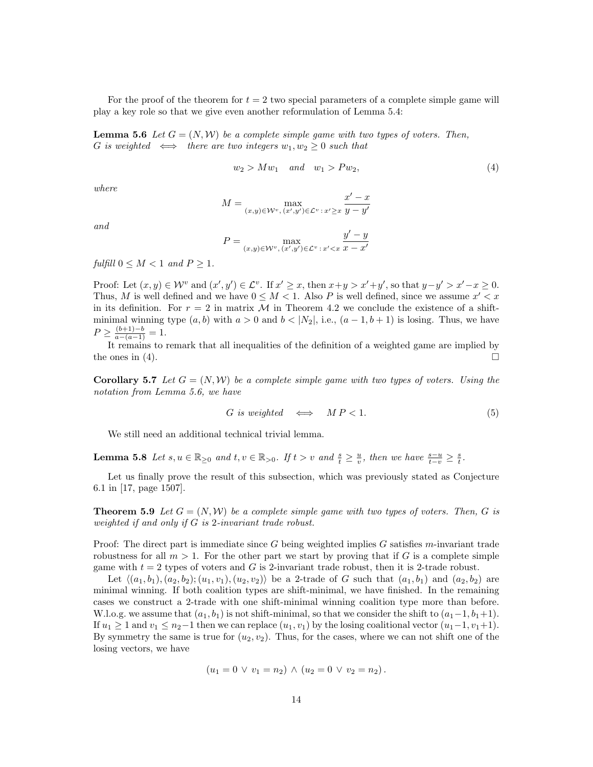For the proof of the theorem for  $t = 2$  two special parameters of a complete simple game will play a key role so that we give even another reformulation of Lemma 5.4:

**Lemma 5.6** Let  $G = (N, W)$  be a complete simple game with two types of voters. Then, G is weighted  $\iff$  there are two integers  $w_1, w_2 \geq 0$  such that

$$
w_2 > Mw_1 \quad and \quad w_1 > Pw_2,\tag{4}
$$

where

$$
M = \max_{(x,y)\in \mathcal{W}^v, (x',y')\in \mathcal{L}^v\,:\, x'\geq x} \frac{x'-x}{y-y'}
$$

and

$$
P = \max_{(x,y) \in \mathcal{W}^v, (x',y') \in \mathcal{L}^v \,:\, x' < x} \frac{y' - y}{x - x'}
$$

fulfill  $0 \leq M \leq 1$  and  $P \geq 1$ .

Proof: Let  $(x, y) \in \mathcal{W}^v$  and  $(x', y') \in \mathcal{L}^v$ . If  $x' \geq x$ , then  $x+y > x'+y'$ , so that  $y-y' > x'-x \geq 0$ . Thus, M is well defined and we have  $0 \leq M < 1$ . Also P is well defined, since we assume  $x' < x$ in its definition. For  $r = 2$  in matrix M in Theorem 4.2 we conclude the existence of a shiftminimal winning type  $(a, b)$  with  $a > 0$  and  $b < |N_2|$ , i.e.,  $(a - 1, b + 1)$  is losing. Thus, we have  $P \geq \frac{(b+1)-b}{a-(a-1)} = 1.$ 

It remains to remark that all inequalities of the definition of a weighted game are implied by the ones in (4).

**Corollary 5.7** Let  $G = (N, W)$  be a complete simple game with two types of voters. Using the notation from Lemma 5.6, we have

$$
G \text{ is weighted } \iff \text{MP} < 1. \tag{5}
$$

We still need an additional technical trivial lemma.

**Lemma 5.8** Let  $s, u \in \mathbb{R}_{\geq 0}$  and  $t, v \in \mathbb{R}_{>0}$ . If  $t > v$  and  $\frac{s}{t} \geq \frac{u}{v}$ , then we have  $\frac{s-u}{t-v} \geq \frac{s}{t}$ .

Let us finally prove the result of this subsection, which was previously stated as Conjecture 6.1 in [17, page 1507].

**Theorem 5.9** Let  $G = (N, W)$  be a complete simple game with two types of voters. Then, G is weighted if and only if G is 2-invariant trade robust.

Proof: The direct part is immediate since  $G$  being weighted implies  $G$  satisfies m-invariant trade robustness for all  $m > 1$ . For the other part we start by proving that if G is a complete simple game with  $t = 2$  types of voters and G is 2-invariant trade robust, then it is 2-trade robust.

Let  $\langle (a_1, b_1), (a_2, b_2); (u_1, v_1), (u_2, v_2) \rangle$  be a 2-trade of G such that  $(a_1, b_1)$  and  $(a_2, b_2)$  are minimal winning. If both coalition types are shift-minimal, we have finished. In the remaining cases we construct a 2-trade with one shift-minimal winning coalition type more than before. W.l.o.g. we assume that  $(a_1, b_1)$  is not shift-minimal, so that we consider the shift to  $(a_1-1, b_1+1)$ . If  $u_1 \geq 1$  and  $v_1 \leq n_2-1$  then we can replace  $(u_1, v_1)$  by the losing coalitional vector  $(u_1-1, v_1+1)$ . By symmetry the same is true for  $(u_2, v_2)$ . Thus, for the cases, where we can not shift one of the losing vectors, we have

$$
(u_1 = 0 \vee v_1 = n_2) \wedge (u_2 = 0 \vee v_2 = n_2).
$$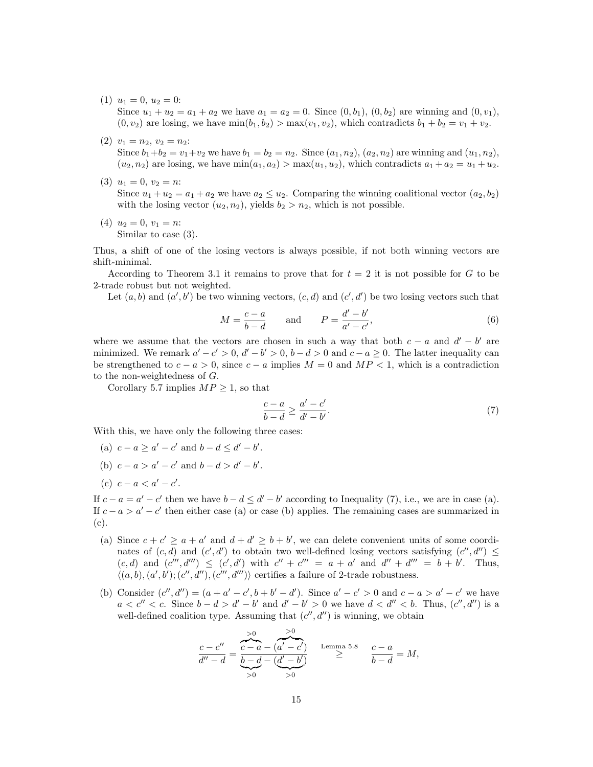- (1)  $u_1 = 0, u_2 = 0$ : Since  $u_1 + u_2 = a_1 + a_2$  we have  $a_1 = a_2 = 0$ . Since  $(0, b_1), (0, b_2)$  are winning and  $(0, v_1)$ ,  $(0, v_2)$  are losing, we have  $\min(b_1, b_2) > \max(v_1, v_2)$ , which contradicts  $b_1 + b_2 = v_1 + v_2$ .
- $(2)$   $v_1 = n_2, v_2 = n_2$ : Since  $b_1+b_2 = v_1+v_2$  we have  $b_1 = b_2 = n_2$ . Since  $(a_1, n_2)$ ,  $(a_2, n_2)$  are winning and  $(u_1, n_2)$ ,  $(u_2, n_2)$  are losing, we have  $\min(a_1, a_2) > \max(u_1, u_2)$ , which contradicts  $a_1 + a_2 = u_1 + u_2$ .
- (3)  $u_1 = 0, v_2 = n$ : Since  $u_1 + u_2 = a_1 + a_2$  we have  $a_2 \le u_2$ . Comparing the winning coalitional vector  $(a_2, b_2)$ with the losing vector  $(u_2, n_2)$ , yields  $b_2 > n_2$ , which is not possible.
- (4)  $u_2 = 0, v_1 = n$ : Similar to case (3).

Thus, a shift of one of the losing vectors is always possible, if not both winning vectors are shift-minimal.

According to Theorem 3.1 it remains to prove that for  $t = 2$  it is not possible for G to be 2-trade robust but not weighted.

Let  $(a, b)$  and  $(a', b')$  be two winning vectors,  $(c, d)$  and  $(c', d')$  be two losing vectors such that

$$
M = \frac{c - a}{b - d} \quad \text{and} \quad P = \frac{d' - b'}{a' - c'},\tag{6}
$$

where we assume that the vectors are chosen in such a way that both  $c - a$  and  $d' - b'$  are minimized. We remark  $a' - c' > 0$ ,  $d' - b' > 0$ ,  $b - d > 0$  and  $c - a \ge 0$ . The latter inequality can be strengthened to  $c - a > 0$ , since  $c - a$  implies  $M = 0$  and  $MP < 1$ , which is a contradiction to the non-weightedness of G.

Corollary 5.7 implies  $MP \geq 1$ , so that

$$
\frac{c-a}{b-d} \ge \frac{a'-c'}{d'-b'}.\tag{7}
$$

With this, we have only the following three cases:

- (a)  $c a \ge a' c'$  and  $b d \le d' b'$ .
- (b)  $c a > a' c'$  and  $b d > d' b'$ .
- (c)  $c a < a' c'$ .

If  $c - a = a' - c'$  then we have  $b - d \le d' - b'$  according to Inequality (7), i.e., we are in case (a). If  $c - a > a' - c'$  then either case (a) or case (b) applies. The remaining cases are summarized in (c).

- (a) Since  $c + c' \ge a + a'$  and  $d + d' \ge b + b'$ , we can delete convenient units of some coordinates of  $(c, d)$  and  $(c', d')$  to obtain two well-defined losing vectors satisfying  $(c'', d'') \leq$  $(c, d)$  and  $(c''', d''') \leq (c', d')$  with  $c'' + c''' = a + a'$  and  $d'' + d''' = b + b'$ . Thus,  $\langle (a, b), (a', b'); (c'', d''), (c''', d''')\rangle$  certifies a failure of 2-trade robustness.
- (b) Consider  $(c'', d'') = (a + a' c', b + b' d')$ . Since  $a' c' > 0$  and  $c a > a' c'$  we have  $a < c'' < c$ . Since  $b - d > d' - b'$  and  $d' - b' > 0$  we have  $d < d'' < b$ . Thus,  $(c'', d'')$  is a well-defined coalition type. Assuming that  $(c'', d'')$  is winning, we obtain

$$
\frac{c-c''}{d''-d} = \frac{\sum_{c-a}^{0} -\frac{b}{(a'-c')}}{\sum_{c}^{0} -d - \frac{d'}{b'}} \qquad \text{Lemma 5.8} \qquad \frac{c-a}{b-d} = M,
$$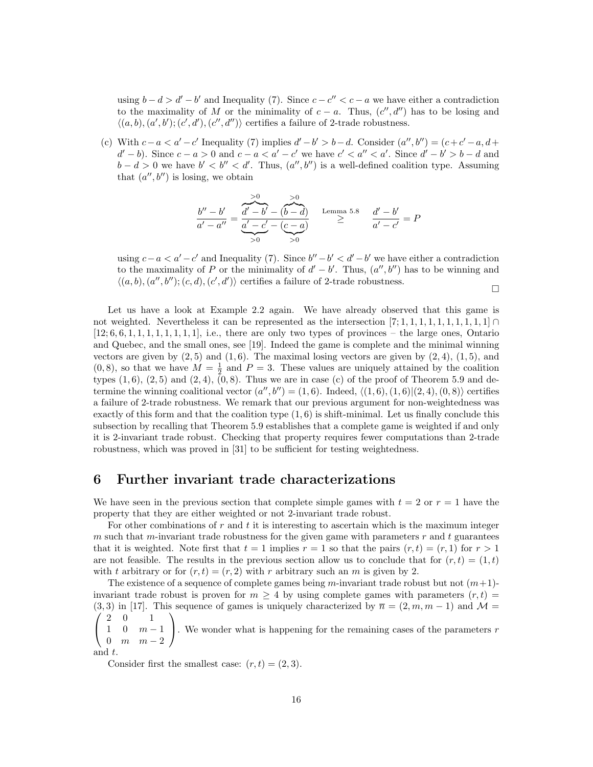using  $b - d > d' - b'$  and Inequality (7). Since  $c - c'' < c - a$  we have either a contradiction to the maximality of M or the minimality of  $c - a$ . Thus,  $(c'', d'')$  has to be losing and  $\langle (a, b), (a', b'); (c', d'), (c'', d'')\rangle$  certifies a failure of 2-trade robustness.

(c) With  $c - a < a' - c'$  Inequality (7) implies  $d' - b' > b - d$ . Consider  $(a'', b'') = (c + c' - a, d + c')$  $d'-b$ ). Since  $c-a>0$  and  $c-a < a'-c'$  we have  $c' < a'' < a'$ . Since  $d'-b' > b-d$  and  $b - d > 0$  we have  $b' < b'' < d'$ . Thus,  $(a'', b'')$  is a well-defined coalition type. Assuming that  $(a'', b'')$  is losing, we obtain

$$
\frac{b'' - b'}{a' - a''} = \underbrace{\frac{a'}{d' - b'} - (b - d)}_{>0} \qquad \text{Lemma 5.8} \qquad \frac{d' - b'}{a' - c'} = P
$$

using  $c-a < a' - c'$  and Inequality (7). Since  $b'' - b' < d' - b'$  we have either a contradiction to the maximality of P or the minimality of  $d'-b'$ . Thus,  $(a'',b'')$  has to be winning and  $\langle (a, b), (a'', b''); (c, d), (c', d')\rangle$  certifies a failure of 2-trade robustness.  $\Box$ 

Let us have a look at Example 2.2 again. We have already observed that this game is not weighted. Nevertheless it can be represented as the intersection  $[7; 1, 1, 1, 1, 1, 1, 1, 1, 1] \cap$  $[12; 6, 6, 1, 1, 1, 1, 1, 1, 1, 1]$ , i.e., there are only two types of provinces – the large ones, Ontario and Quebec, and the small ones, see [19]. Indeed the game is complete and the minimal winning vectors are given by  $(2, 5)$  and  $(1, 6)$ . The maximal losing vectors are given by  $(2, 4)$ ,  $(1, 5)$ , and  $(0, 8)$ , so that we have  $M = \frac{1}{2}$  and  $P = 3$ . These values are uniquely attained by the coalition types  $(1, 6)$ ,  $(2, 5)$  and  $(2, 4)$ ,  $(0, 8)$ . Thus we are in case (c) of the proof of Theorem 5.9 and determine the winning coalitional vector  $(a'', b'') = (1, 6)$ . Indeed,  $\langle (1, 6), (1, 6) | (2, 4), (0, 8) \rangle$  certifies a failure of 2-trade robustness. We remark that our previous argument for non-weightedness was exactly of this form and that the coalition type  $(1, 6)$  is shift-minimal. Let us finally conclude this subsection by recalling that Theorem 5.9 establishes that a complete game is weighted if and only it is 2-invariant trade robust. Checking that property requires fewer computations than 2-trade robustness, which was proved in [31] to be sufficient for testing weightedness.

### 6 Further invariant trade characterizations

We have seen in the previous section that complete simple games with  $t = 2$  or  $r = 1$  have the property that they are either weighted or not 2-invariant trade robust.

For other combinations of  $r$  and  $t$  it is interesting to ascertain which is the maximum integer m such that m-invariant trade robustness for the given game with parameters  $r$  and  $t$  guarantees that it is weighted. Note first that  $t = 1$  implies  $r = 1$  so that the pairs  $(r, t) = (r, 1)$  for  $r > 1$ are not feasible. The results in the previous section allow us to conclude that for  $(r, t) = (1, t)$ with t arbitrary or for  $(r, t) = (r, 2)$  with r arbitrary such an m is given by 2.

The existence of a sequence of complete games being m-invariant trade robust but not  $(m+1)$ invariant trade robust is proven for  $m \geq 4$  by using complete games with parameters  $(r, t)$  $\sqrt{ }$ (3,3) in [17]. This sequence of games is uniquely characterized by  $\bar{n} = (2, m, m - 1)$  and  $\mathcal{M} =$ 2 0 1  $\setminus$ 

 $\mathcal{L}$  $1 \quad 0 \quad m-1$ 0  $m$   $m-2$ . We wonder what is happening for the remaining cases of the parameters  $r$ 

and t.

Consider first the smallest case:  $(r, t) = (2, 3)$ .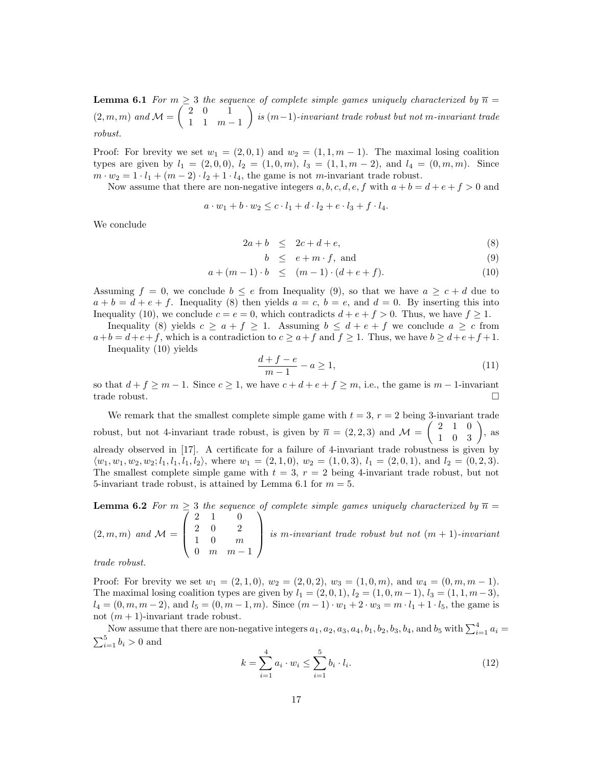**Lemma 6.1** For  $m \geq 3$  the sequence of complete simple games uniquely characterized by  $\overline{n} =$  $(2, m, m)$  and  $\mathcal{M} = \begin{pmatrix} 2 & 0 & 1 \\ 1 & 1 & m \end{pmatrix}$  $1 \quad 1 \quad m-1$  $\bigg\}$  is  $(m-1)$ -invariant trade robust but not m-invariant trade robust.

Proof: For brevity we set  $w_1 = (2, 0, 1)$  and  $w_2 = (1, 1, m - 1)$ . The maximal losing coalition types are given by  $l_1 = (2, 0, 0), l_2 = (1, 0, m), l_3 = (1, 1, m - 2),$  and  $l_4 = (0, m, m)$ . Since  $m \cdot w_2 = 1 \cdot l_1 + (m-2) \cdot l_2 + 1 \cdot l_4$ , the game is not m-invariant trade robust.

Now assume that there are non-negative integers a, b, c, d, e, f with  $a + b = d + e + f > 0$  and

$$
a \cdot w_1 + b \cdot w_2 \leq c \cdot l_1 + d \cdot l_2 + e \cdot l_3 + f \cdot l_4.
$$

We conclude

$$
2a + b \leq 2c + d + e,\tag{8}
$$

$$
b \le e + m \cdot f, \text{ and } \tag{9}
$$

$$
a + (m - 1) \cdot b \le (m - 1) \cdot (d + e + f). \tag{10}
$$

Assuming  $f = 0$ , we conclude  $b \le e$  from Inequality (9), so that we have  $a \ge c + d$  due to  $a + b = d + e + f$ . Inequality (8) then yields  $a = c, b = e$ , and  $d = 0$ . By inserting this into Inequality (10), we conclude  $c = e = 0$ , which contradicts  $d + e + f > 0$ . Thus, we have  $f \ge 1$ .

Inequality (8) yields  $c \ge a + f \ge 1$ . Assuming  $b \le d + e + f$  we conclude  $a \ge c$  from  $a+b=d+e+f$ , which is a contradiction to  $c \ge a+f$  and  $f \ge 1$ . Thus, we have  $b \ge d+e+f+1$ .

Inequality (10) yields

$$
\frac{d+f-e}{m-1} - a \ge 1,\tag{11}
$$

so that  $d + f \geq m - 1$ . Since  $c \geq 1$ , we have  $c + d + e + f \geq m$ , i.e., the game is  $m - 1$ -invariant trade robust.

We remark that the smallest complete simple game with  $t = 3$ ,  $r = 2$  being 3-invariant trade robust, but not 4-invariant trade robust, is given by  $\bar{n} = (2, 2, 3)$  and  $\mathcal{M} = \begin{pmatrix} 2 & 1 & 0 \\ 1 & 0 & 3 \end{pmatrix}$ , as already observed in [17]. A certificate for a failure of 4-invariant trade robustness is given by  $\langle w_1, w_1, w_2, w_2; l_1, l_1, l_1, l_2 \rangle$ , where  $w_1 = (2, 1, 0), w_2 = (1, 0, 3), l_1 = (2, 0, 1),$  and  $l_2 = (0, 2, 3)$ . The smallest complete simple game with  $t = 3$ ,  $r = 2$  being 4-invariant trade robust, but not 5-invariant trade robust, is attained by Lemma 6.1 for  $m = 5$ .

**Lemma 6.2** For  $m \geq 3$  the sequence of complete simple games uniquely characterized by  $\overline{n} =$  $\sqrt{ }$ 2 1 0 2 0 2  $\setminus$ 

 $(2, m, m)$  and  $\mathcal{M} =$  $\overline{\phantom{a}}$ 1 0 m 0  $m$   $m-1$ is m-invariant trade robust but not  $(m + 1)$ -invariant

trade robust.

Proof: For brevity we set  $w_1 = (2, 1, 0), w_2 = (2, 0, 2), w_3 = (1, 0, m),$  and  $w_4 = (0, m, m - 1).$ The maximal losing coalition types are given by  $l_1 = (2, 0, 1), l_2 = (1, 0, m-1), l_3 = (1, 1, m-3),$  $l_4 = (0, m, m - 2)$ , and  $l_5 = (0, m - 1, m)$ . Since  $(m - 1) \cdot w_1 + 2 \cdot w_3 = m \cdot l_1 + 1 \cdot l_5$ , the game is not  $(m + 1)$ -invariant trade robust.

Now assume that there are non-negative integers  $a_1, a_2, a_3, a_4, b_1, b_2, b_3, b_4$ , and  $b_5$  with  $\sum_{i=1}^{4} a_i =$  $\sum_{i=1}^{5} b_i > 0$  and

$$
k = \sum_{i=1}^{4} a_i \cdot w_i \le \sum_{i=1}^{5} b_i \cdot l_i.
$$
 (12)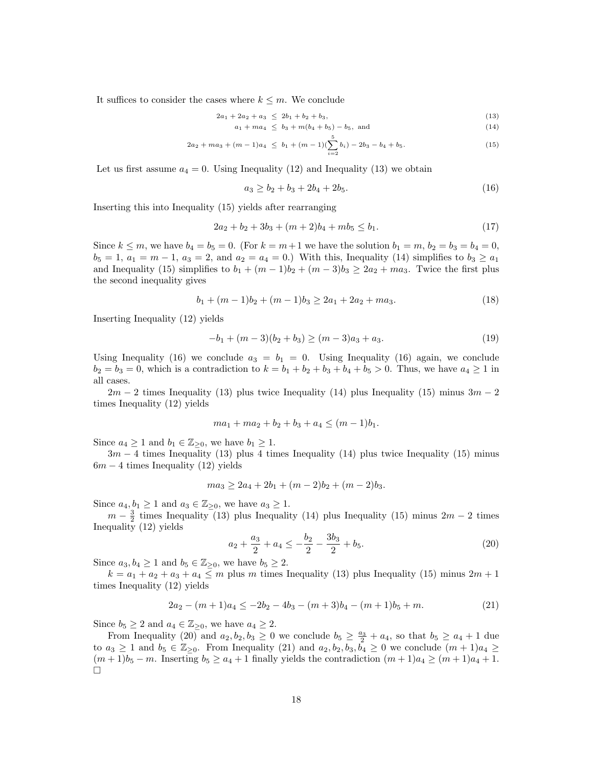It suffices to consider the cases where  $k \leq m$ . We conclude

$$
2a_1 + 2a_2 + a_3 \le 2b_1 + b_2 + b_3, \tag{13}
$$

$$
a_1 + ma_4 \le b_3 + m(b_4 + b_5) - b_5, \text{ and} \tag{14}
$$

$$
2a_2 + ma_3 + (m-1)a_4 \le b_1 + (m-1)\left(\sum_{i=2}^5 b_i\right) - 2b_3 - b_4 + b_5. \tag{15}
$$

Let us first assume  $a_4 = 0$ . Using Inequality (12) and Inequality (13) we obtain

$$
a_3 \ge b_2 + b_3 + 2b_4 + 2b_5. \tag{16}
$$

Inserting this into Inequality (15) yields after rearranging

$$
2a_2 + b_2 + 3b_3 + (m+2)b_4 + mb_5 \le b_1. \tag{17}
$$

Since  $k \le m$ , we have  $b_4 = b_5 = 0$ . (For  $k = m+1$  we have the solution  $b_1 = m$ ,  $b_2 = b_3 = b_4 = 0$ ,  $b_5 = 1, a_1 = m - 1, a_3 = 2, \text{ and } a_2 = a_4 = 0.$  With this, Inequality (14) simplifies to  $b_3 \ge a_1$ and Inequality (15) simplifies to  $b_1 + (m-1)b_2 + (m-3)b_3 \geq 2a_2 + ma_3$ . Twice the first plus the second inequality gives

$$
b_1 + (m-1)b_2 + (m-1)b_3 \ge 2a_1 + 2a_2 + ma_3. \tag{18}
$$

Inserting Inequality (12) yields

$$
-b_1 + (m-3)(b_2 + b_3) \ge (m-3)a_3 + a_3. \tag{19}
$$

Using Inequality (16) we conclude  $a_3 = b_1 = 0$ . Using Inequality (16) again, we conclude  $b_2 = b_3 = 0$ , which is a contradiction to  $k = b_1 + b_2 + b_3 + b_4 + b_5 > 0$ . Thus, we have  $a_4 \ge 1$  in all cases.

 $2m - 2$  times Inequality (13) plus twice Inequality (14) plus Inequality (15) minus  $3m - 2$ times Inequality (12) yields

$$
ma_1 + ma_2 + b_2 + b_3 + a_4 \le (m-1)b_1.
$$

Since  $a_4 \geq 1$  and  $b_1 \in \mathbb{Z}_{\geq 0}$ , we have  $b_1 \geq 1$ .

 $3m - 4$  times Inequality (13) plus 4 times Inequality (14) plus twice Inequality (15) minus  $6m - 4$  times Inequality (12) yields

$$
ma_3 \ge 2a_4 + 2b_1 + (m-2)b_2 + (m-2)b_3.
$$

Since  $a_4, b_1 \geq 1$  and  $a_3 \in \mathbb{Z}_{\geq 0}$ , we have  $a_3 \geq 1$ .

 $m - \frac{3}{2}$  times Inequality (13) plus Inequality (14) plus Inequality (15) minus  $2m - 2$  times Inequality (12) yields

$$
a_2 + \frac{a_3}{2} + a_4 \le -\frac{b_2}{2} - \frac{3b_3}{2} + b_5. \tag{20}
$$

Since  $a_3, b_4 \geq 1$  and  $b_5 \in \mathbb{Z}_{\geq 0}$ , we have  $b_5 \geq 2$ .

 $k = a_1 + a_2 + a_3 + a_4 \leq m$  plus m times Inequality (13) plus Inequality (15) minus  $2m + 1$ times Inequality (12) yields

$$
2a_2 - (m+1)a_4 \le -2b_2 - 4b_3 - (m+3)b_4 - (m+1)b_5 + m. \tag{21}
$$

Since  $b_5 \geq 2$  and  $a_4 \in \mathbb{Z}_{\geq 0}$ , we have  $a_4 \geq 2$ .

From Inequality  $(20)$  and  $a_2, b_2, b_3 \ge 0$  we conclude  $b_5 \ge \frac{a_3}{2} + a_4$ , so that  $b_5 \ge a_4 + 1$  due to  $a_3 \geq 1$  and  $b_5 \in \mathbb{Z}_{\geq 0}$ . From Inequality (21) and  $a_2, b_2, b_3, \overline{b_4} \geq 0$  we conclude  $(m+1)a_4 \geq$  $(m+1)b_5 - m$ . Inserting  $b_5 \ge a_4 + 1$  finally yields the contradiction  $(m+1)a_4 \ge (m+1)a_4 + 1$ .  $\Box$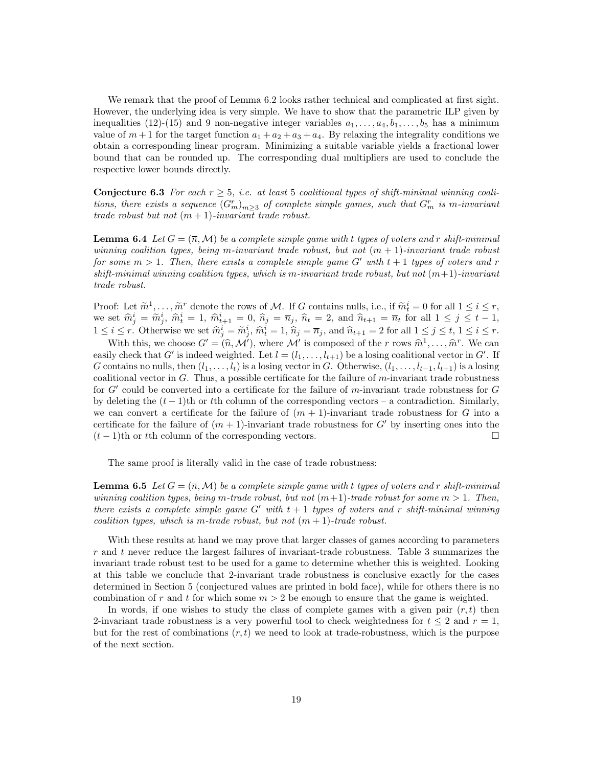We remark that the proof of Lemma 6.2 looks rather technical and complicated at first sight. However, the underlying idea is very simple. We have to show that the parametric ILP given by inequalities (12)-(15) and 9 non-negative integer variables  $a_1, \ldots, a_4, b_1, \ldots, b_5$  has a minimum value of  $m+1$  for the target function  $a_1 + a_2 + a_3 + a_4$ . By relaxing the integrality conditions we obtain a corresponding linear program. Minimizing a suitable variable yields a fractional lower bound that can be rounded up. The corresponding dual multipliers are used to conclude the respective lower bounds directly.

Conjecture 6.3 For each  $r \geq 5$ , i.e. at least 5 coalitional types of shift-minimal winning coalitions, there exists a sequence  $(G_m^r)_{m\geq 3}$  of complete simple games, such that  $G_m^r$  is m-invariant trade robust but not  $(m + 1)$ -invariant trade robust.

**Lemma 6.4** Let  $G = (\overline{n}, \mathcal{M})$  be a complete simple game with t types of voters and r shift-minimal winning coalition types, being m-invariant trade robust, but not  $(m + 1)$ -invariant trade robust for some  $m > 1$ . Then, there exists a complete simple game G' with  $t + 1$  types of voters and r shift-minimal winning coalition types, which is m-invariant trade robust, but not  $(m+1)$ -invariant trade robust.

Proof: Let  $\widetilde{m}^1, \ldots, \widetilde{m}^r$  denote the rows of M. If G contains nulls, i.e., if  $\widetilde{m}^i_t = 0$  for all  $1 \le i \le r$ ,<br>we set  $\widehat{m}^i = \widetilde{m}^i$ ,  $\widehat{m}^i = 1$ ,  $\widehat{m}^i = 0$ ,  $\widehat{n}_t = \overline{n}_t$ ,  $\widehat{n}_t = 2$ , and  $\widehat$ we set  $\hat{m}_j^i = \tilde{m}_j^i$ ,  $\hat{m}_t^i = 1$ ,  $\hat{m}_{t+1}^i = 0$ ,  $\hat{n}_j = \overline{n}_j$ ,  $\hat{n}_t = 2$ , and  $\hat{n}_{t+1} = \overline{n}_t$  for all  $1 \le j \le t-1$ ,  $1 \le i \le n$ ,  $\sum_{i=1}^n a_i^i = \tilde{n}_i^i$  $1 \leq i \leq r$ . Otherwise we set  $\widehat{m}_j^i = \widetilde{m}_j^i$ ,  $\widehat{m}_t^i = 1$ ,  $\widehat{n}_j = \overline{n}_j$ , and  $\widehat{n}_{t+1} = 2$  for all  $1 \leq j \leq t$ ,  $1 \leq i \leq r$ .<br>With this we share  $G'$ ,  $(\widehat{\alpha}, M')$  where  $M'$  is compared of the p name  $\widehat{\alpha}^$ 

With this, we choose  $G' = (\hat{n}, \mathcal{M}')$ , where  $\mathcal{M}'$  is composed of the r rows  $\hat{m}^1, \dots, \hat{m}^r$ . We can<br>the conditional relation of the relation of the relation of the relation of the relation of the relation of the r easily check that G' is indeed weighted. Let  $l = (l_1, \ldots, l_{t+1})$  be a losing coalitional vector in G'. If G contains no nulls, then  $(l_1, \ldots, l_t)$  is a losing vector in G. Otherwise,  $(l_1, \ldots, l_{t-1}, l_{t+1})$  is a losing coalitional vector in  $G$ . Thus, a possible certificate for the failure of m-invariant trade robustness for  $G'$  could be converted into a certificate for the failure of m-invariant trade robustness for  $G$ by deleting the  $(t - 1)$ th or tth column of the corresponding vectors – a contradiction. Similarly, we can convert a certificate for the failure of  $(m + 1)$ -invariant trade robustness for G into a certificate for the failure of  $(m + 1)$ -invariant trade robustness for G' by inserting ones into the  $(t-1)$ th or the column of the corresponding vectors.

The same proof is literally valid in the case of trade robustness:

**Lemma 6.5** Let  $G = (\overline{n}, \mathcal{M})$  be a complete simple game with t types of voters and r shift-minimal winning coalition types, being m-trade robust, but not  $(m+1)$ -trade robust for some  $m > 1$ . Then, there exists a complete simple game G' with  $t + 1$  types of voters and r shift-minimal winning coalition types, which is m-trade robust, but not  $(m + 1)$ -trade robust.

With these results at hand we may prove that larger classes of games according to parameters  $r$  and  $t$  never reduce the largest failures of invariant-trade robustness. Table 3 summarizes the invariant trade robust test to be used for a game to determine whether this is weighted. Looking at this table we conclude that 2-invariant trade robustness is conclusive exactly for the cases determined in Section 5 (conjectured values are printed in bold face), while for others there is no combination of r and t for which some  $m > 2$  be enough to ensure that the game is weighted.

In words, if one wishes to study the class of complete games with a given pair  $(r, t)$  then 2-invariant trade robustness is a very powerful tool to check weightedness for  $t \leq 2$  and  $r = 1$ , but for the rest of combinations  $(r, t)$  we need to look at trade-robustness, which is the purpose of the next section.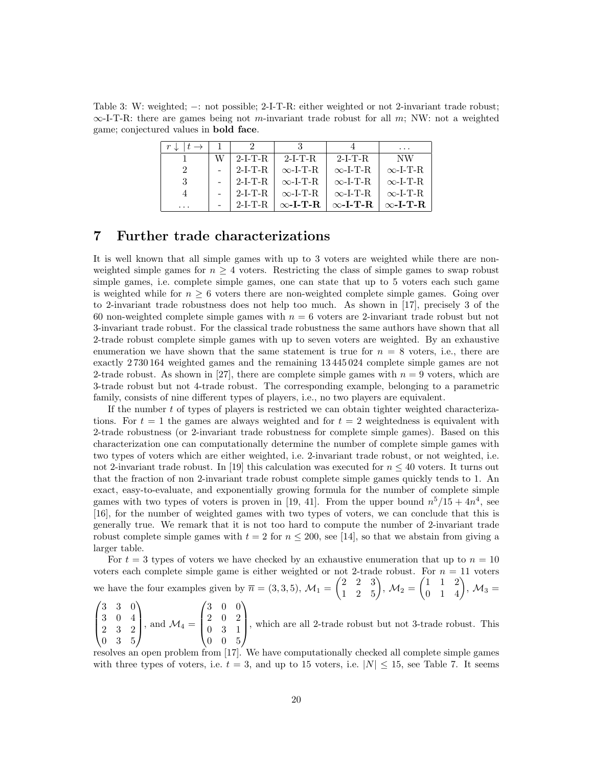Table 3: W: weighted; −: not possible; 2-I-T-R: either weighted or not 2-invariant trade robust;  $\infty$ -I-T-R: there are games being not m-invariant trade robust for all m; NW: not a weighted game; conjectured values in bold face.

|          |           |                 |                 | $\cdots$        |
|----------|-----------|-----------------|-----------------|-----------------|
|          | $2-I-T-R$ | $2-I-T-R$       | $2-I-T-R$       | NW              |
|          | $2-I-T-R$ | $\infty$ -I-T-R | $\infty$ -I-T-R | $\infty$ -I-T-R |
| 3        | 2-I-T-R   | $\infty$ -L-T-R | $\infty$ -L-T-R | $\infty$ -I-T-R |
|          | $2-I-T-R$ | $\infty$ -L-T-R | $\infty$ -L-T-R | $\infty$ -I-T-R |
| $\cdots$ | $2-I-T-R$ | $\infty$ -I-T-R | $\infty$ -I-T-R | $\infty$ -I-T-R |

## 7 Further trade characterizations

It is well known that all simple games with up to 3 voters are weighted while there are nonweighted simple games for  $n \geq 4$  voters. Restricting the class of simple games to swap robust simple games, i.e. complete simple games, one can state that up to 5 voters each such game is weighted while for  $n \geq 6$  voters there are non-weighted complete simple games. Going over to 2-invariant trade robustness does not help too much. As shown in [17], precisely 3 of the 60 non-weighted complete simple games with  $n = 6$  voters are 2-invariant trade robust but not 3-invariant trade robust. For the classical trade robustness the same authors have shown that all 2-trade robust complete simple games with up to seven voters are weighted. By an exhaustive enumeration we have shown that the same statement is true for  $n = 8$  voters, i.e., there are exactly 2 730 164 weighted games and the remaining 13 445 024 complete simple games are not 2-trade robust. As shown in [27], there are complete simple games with  $n = 9$  voters, which are 3-trade robust but not 4-trade robust. The corresponding example, belonging to a parametric family, consists of nine different types of players, i.e., no two players are equivalent.

If the number t of types of players is restricted we can obtain tighter weighted characterizations. For  $t = 1$  the games are always weighted and for  $t = 2$  weightedness is equivalent with 2-trade robustness (or 2-invariant trade robustness for complete simple games). Based on this characterization one can computationally determine the number of complete simple games with two types of voters which are either weighted, i.e. 2-invariant trade robust, or not weighted, i.e. not 2-invariant trade robust. In [19] this calculation was executed for  $n \leq 40$  voters. It turns out that the fraction of non 2-invariant trade robust complete simple games quickly tends to 1. An exact, easy-to-evaluate, and exponentially growing formula for the number of complete simple games with two types of voters is proven in [19, 41]. From the upper bound  $n^5/15 + 4n^4$ , see [16], for the number of weighted games with two types of voters, we can conclude that this is generally true. We remark that it is not too hard to compute the number of 2-invariant trade robust complete simple games with  $t = 2$  for  $n \le 200$ , see [14], so that we abstain from giving a larger table.

For  $t = 3$  types of voters we have checked by an exhaustive enumeration that up to  $n = 10$ voters each complete simple game is either weighted or not 2-trade robust. For  $n = 11$  voters we have the four examples given by  $\bar{n} = (3, 3, 5)$ ,  $\mathcal{M}_1 = \begin{pmatrix} 2 & 2 & 3 \\ 1 & 2 & 5 \end{pmatrix}$ ,  $\mathcal{M}_2 = \begin{pmatrix} 1 & 1 & 2 \\ 0 & 1 & 4 \end{pmatrix}$ ,  $\mathcal{M}_3 =$ 

 $\sqrt{ }$  $\overline{\phantom{a}}$ 3 3 0 3 0 4 2 3 2 0 3 5  $\setminus$ , and  $\mathcal{M}_4 =$  $\sqrt{ }$  $\overline{\phantom{a}}$ 3 0 0 2 0 2 0 3 1 0 0 5  $\setminus$ , which are all 2-trade robust but not 3-trade robust. This

resolves an open problem from [17]. We have computationally checked all complete simple games with three types of voters, i.e.  $t = 3$ , and up to 15 voters, i.e.  $|N| \le 15$ , see Table 7. It seems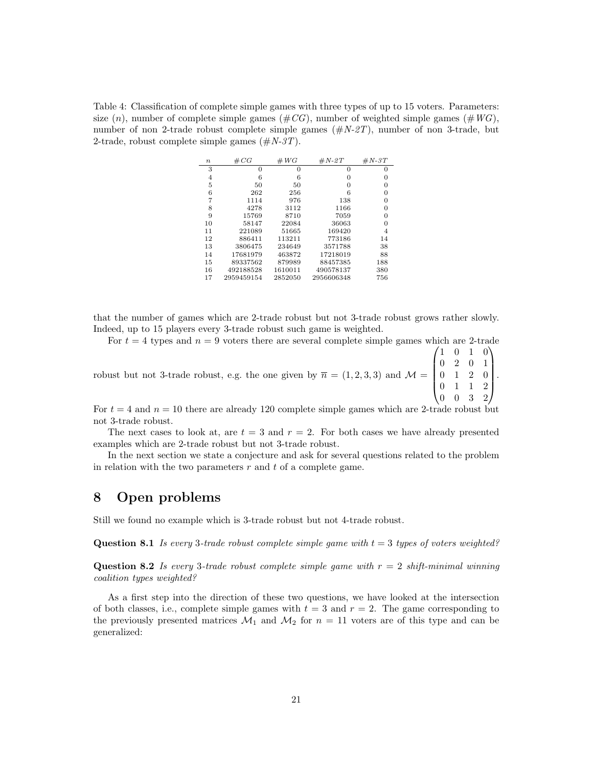Table 4: Classification of complete simple games with three types of up to 15 voters. Parameters: size  $(n)$ , number of complete simple games  $(\# CG)$ , number of weighted simple games  $(\#WG)$ , number of non 2-trade robust complete simple games  $(\#N_z \text{--} T)$ , number of non 3-trade, but 2-trade, robust complete simple games  $(\#N-3T)$ .

| $\boldsymbol{n}$ | $\#CG$     | $\#WG$  | $\#N-2T$   | $\#N-3T$ |
|------------------|------------|---------|------------|----------|
| 3                | $\Omega$   | 0       | 0          | 0        |
| 4                | 6          | 6       | O          | 0        |
| 5                | 50         | 50      | O          | 0        |
| 6                | 262        | 256     | 6          | $\Omega$ |
| 7                | 1114       | 976     | 138        | 0        |
| 8                | 4278       | 3112    | 1166       | 0        |
| 9                | 15769      | 8710    | 7059       | $\Omega$ |
| 10               | 58147      | 22084   | 36063      | 0        |
| 11               | 221089     | 51665   | 169420     | 4        |
| 12               | 886411     | 113211  | 773186     | 14       |
| 13               | 3806475    | 234649  | 3571788    | 38       |
| 14               | 17681979   | 463872  | 17218019   | 88       |
| 15               | 89337562   | 879989  | 88457385   | 188      |
| 16               | 492188528  | 1610011 | 490578137  | 380      |
| 17               | 2959459154 | 2852050 | 2956606348 | 756      |

that the number of games which are 2-trade robust but not 3-trade robust grows rather slowly. Indeed, up to 15 players every 3-trade robust such game is weighted.

For  $t = 4$  types and  $n = 9$  voters there are several complete simple games which are 2-trade

robust but not 3-trade robust, e.g. the one given by  $\bar{n} = (1, 2, 3, 3)$  and  $\mathcal{M} =$  $\sqrt{ }$  $\overline{\phantom{a}}$ 1 0 1 0 0 2 0 1 0 1 2 0 0 1 1 2 0 0 3 2  $\setminus$  $\left| \cdot \right|$ 

For  $t = 4$  and  $n = 10$  there are already 120 complete simple games which are 2-trade robust but not 3-trade robust.

The next cases to look at, are  $t = 3$  and  $r = 2$ . For both cases we have already presented examples which are 2-trade robust but not 3-trade robust.

In the next section we state a conjecture and ask for several questions related to the problem in relation with the two parameters  $r$  and  $t$  of a complete game.

## 8 Open problems

Still we found no example which is 3-trade robust but not 4-trade robust.

**Question 8.1** Is every 3-trade robust complete simple game with  $t = 3$  types of voters weighted?

**Question 8.2** Is every 3-trade robust complete simple game with  $r = 2$  shift-minimal winning coalition types weighted?

As a first step into the direction of these two questions, we have looked at the intersection of both classes, i.e., complete simple games with  $t = 3$  and  $r = 2$ . The game corresponding to the previously presented matrices  $\mathcal{M}_1$  and  $\mathcal{M}_2$  for  $n = 11$  voters are of this type and can be generalized: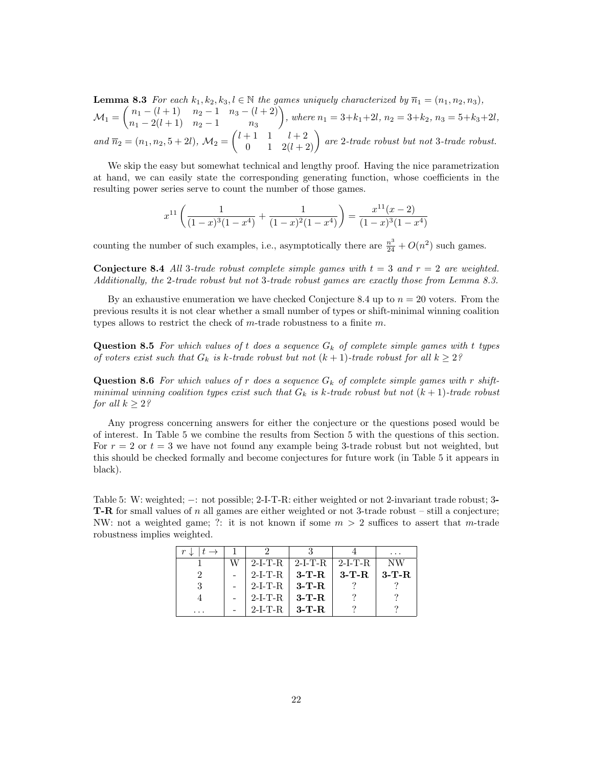**Lemma 8.3** For each  $k_1, k_2, k_3, l \in \mathbb{N}$  the games uniquely characterized by  $\overline{n}_1 = (n_1, n_2, n_3)$ ,  $\mathcal{M}_1 = \begin{pmatrix} n_1 - (l+1) & n_2 - 1 & n_3 - (l+2) \\ n_1 - 2(l+1) & n_2 - 1 & n_3 \end{pmatrix}$  $n_1 - 2(l + 1)$   $n_2 - 1$   $n_3$ , where  $n_1 = 3+k_1+2l$ ,  $n_2 = 3+k_2$ ,  $n_3 = 5+k_3+2l$ ,  $and \ \overline{n}_2 = (n_1, n_2, 5 + 2l), \ \mathcal{M}_2 = \begin{pmatrix} l+1 & 1 & l+2 \\ 0 & 1 & 2(l+2) \end{pmatrix}$  are 2-trade robust but not 3-trade robust.

We skip the easy but somewhat technical and lengthy proof. Having the nice parametrization at hand, we can easily state the corresponding generating function, whose coefficients in the resulting power series serve to count the number of those games.

$$
x^{11}\left(\frac{1}{(1-x)^3(1-x^4)} + \frac{1}{(1-x)^2(1-x^4)}\right) = \frac{x^{11}(x-2)}{(1-x)^3(1-x^4)}
$$

counting the number of such examples, i.e., asymptotically there are  $\frac{n^3}{24} + O(n^2)$  such games.

**Conjecture 8.4** All 3-trade robust complete simple games with  $t = 3$  and  $r = 2$  are weighted. Additionally, the 2-trade robust but not 3-trade robust games are exactly those from Lemma 8.3.

By an exhaustive enumeration we have checked Conjecture 8.4 up to  $n = 20$  voters. From the previous results it is not clear whether a small number of types or shift-minimal winning coalition types allows to restrict the check of  $m$ -trade robustness to a finite  $m$ .

**Question 8.5** For which values of t does a sequence  $G_k$  of complete simple games with t types of voters exist such that  $G_k$  is k-trade robust but not  $(k + 1)$ -trade robust for all  $k \geq 2$ ?

**Question 8.6** For which values of r does a sequence  $G_k$  of complete simple games with r shiftminimal winning coalition types exist such that  $G_k$  is k-trade robust but not  $(k+1)$ -trade robust for all  $k \geq 2$ ?

Any progress concerning answers for either the conjecture or the questions posed would be of interest. In Table 5 we combine the results from Section 5 with the questions of this section. For  $r = 2$  or  $t = 3$  we have not found any example being 3-trade robust but not weighted, but this should be checked formally and become conjectures for future work (in Table 5 it appears in black).

Table 5: W: weighted; −: not possible; 2-I-T-R: either weighted or not 2-invariant trade robust; 3-T-R for small values of n all games are either weighted or not 3-trade robust – still a conjecture; NW: not a weighted game; ?: it is not known if some  $m > 2$  suffices to assert that m-trade robustness implies weighted.

|    | $2-I-T-R$ | $2-I-T-R$ | $2-I-T-R$ | NW      |
|----|-----------|-----------|-----------|---------|
|    | $2-I-T-R$ | $3-T-R$   | $3-T-R$   | $3-T-R$ |
| -3 | $2-I-T-R$ | $3-T-R$   |           |         |
|    | $2-I-T-R$ | $3-T-R$   |           |         |
|    | $2-I-T-R$ | $3-T-R$   |           |         |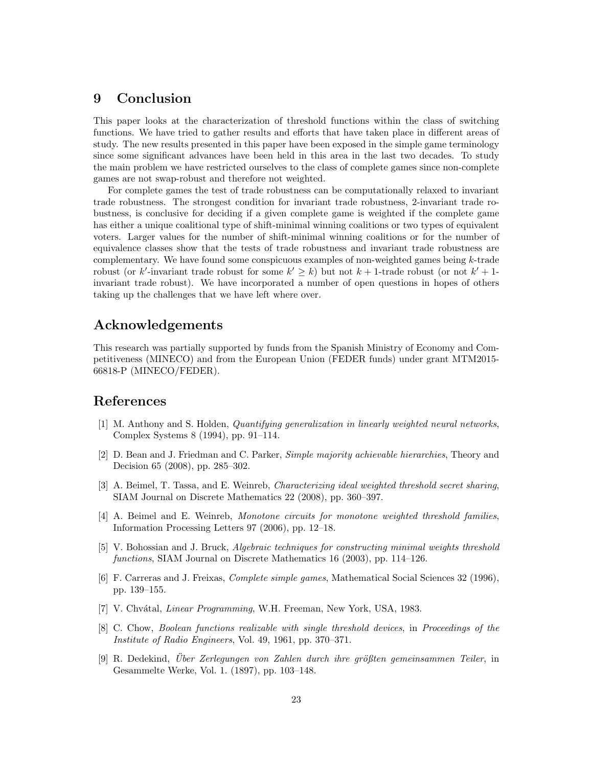## 9 Conclusion

This paper looks at the characterization of threshold functions within the class of switching functions. We have tried to gather results and efforts that have taken place in different areas of study. The new results presented in this paper have been exposed in the simple game terminology since some significant advances have been held in this area in the last two decades. To study the main problem we have restricted ourselves to the class of complete games since non-complete games are not swap-robust and therefore not weighted.

For complete games the test of trade robustness can be computationally relaxed to invariant trade robustness. The strongest condition for invariant trade robustness, 2-invariant trade robustness, is conclusive for deciding if a given complete game is weighted if the complete game has either a unique coalitional type of shift-minimal winning coalitions or two types of equivalent voters. Larger values for the number of shift-minimal winning coalitions or for the number of equivalence classes show that the tests of trade robustness and invariant trade robustness are complementary. We have found some conspicuous examples of non-weighted games being k-trade robust (or k'-invariant trade robust for some  $k' \geq k$ ) but not  $k + 1$ -trade robust (or not  $k' + 1$ invariant trade robust). We have incorporated a number of open questions in hopes of others taking up the challenges that we have left where over.

## Acknowledgements

This research was partially supported by funds from the Spanish Ministry of Economy and Competitiveness (MINECO) and from the European Union (FEDER funds) under grant MTM2015- 66818-P (MINECO/FEDER).

## References

- [1] M. Anthony and S. Holden, Quantifying generalization in linearly weighted neural networks, Complex Systems 8 (1994), pp. 91–114.
- [2] D. Bean and J. Friedman and C. Parker, Simple majority achievable hierarchies, Theory and Decision 65 (2008), pp. 285–302.
- [3] A. Beimel, T. Tassa, and E. Weinreb, Characterizing ideal weighted threshold secret sharing, SIAM Journal on Discrete Mathematics 22 (2008), pp. 360–397.
- [4] A. Beimel and E. Weinreb, Monotone circuits for monotone weighted threshold families, Information Processing Letters 97 (2006), pp. 12–18.
- [5] V. Bohossian and J. Bruck, Algebraic techniques for constructing minimal weights threshold functions, SIAM Journal on Discrete Mathematics 16 (2003), pp. 114–126.
- [6] F. Carreras and J. Freixas, Complete simple games, Mathematical Social Sciences 32 (1996), pp. 139–155.
- [7] V. Chvátal, *Linear Programming*, W.H. Freeman, New York, USA, 1983.
- [8] C. Chow, Boolean functions realizable with single threshold devices, in Proceedings of the Institute of Radio Engineers, Vol. 49, 1961, pp. 370–371.
- [9] R. Dedekind, Uber Zerlegungen von Zahlen durch ihre größten gemeinsammen Teiler, in Gesammelte Werke, Vol. 1. (1897), pp. 103–148.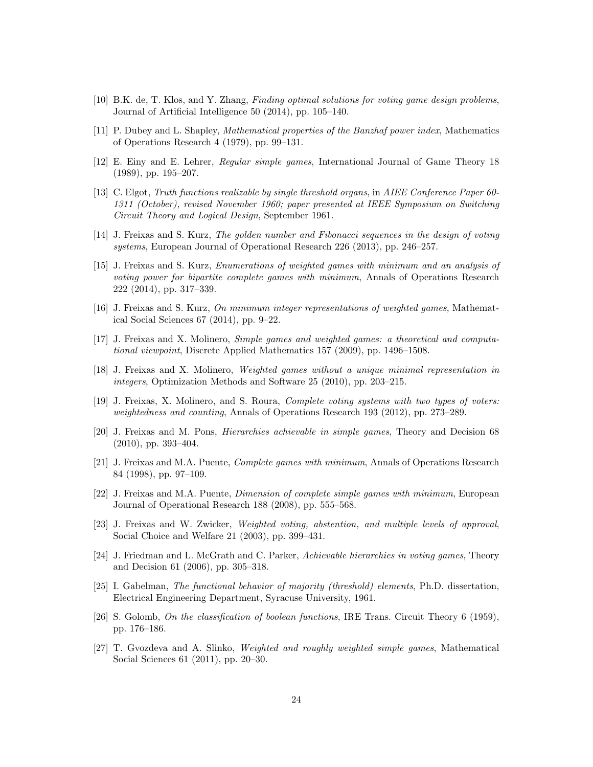- [10] B.K. de, T. Klos, and Y. Zhang, Finding optimal solutions for voting game design problems, Journal of Artificial Intelligence 50 (2014), pp. 105–140.
- [11] P. Dubey and L. Shapley, Mathematical properties of the Banzhaf power index, Mathematics of Operations Research 4 (1979), pp. 99–131.
- [12] E. Einy and E. Lehrer, Regular simple games, International Journal of Game Theory 18 (1989), pp. 195–207.
- [13] C. Elgot, Truth functions realizable by single threshold organs, in AIEE Conference Paper 60- 1311 (October), revised November 1960; paper presented at IEEE Symposium on Switching Circuit Theory and Logical Design, September 1961.
- [14] J. Freixas and S. Kurz, The golden number and Fibonacci sequences in the design of voting systems, European Journal of Operational Research 226 (2013), pp. 246–257.
- [15] J. Freixas and S. Kurz, Enumerations of weighted games with minimum and an analysis of voting power for bipartite complete games with minimum, Annals of Operations Research 222 (2014), pp. 317–339.
- [16] J. Freixas and S. Kurz, On minimum integer representations of weighted games, Mathematical Social Sciences 67 (2014), pp. 9–22.
- [17] J. Freixas and X. Molinero, Simple games and weighted games: a theoretical and computational viewpoint, Discrete Applied Mathematics 157 (2009), pp. 1496–1508.
- [18] J. Freixas and X. Molinero, Weighted games without a unique minimal representation in integers, Optimization Methods and Software 25 (2010), pp. 203–215.
- [19] J. Freixas, X. Molinero, and S. Roura, Complete voting systems with two types of voters: weightedness and counting, Annals of Operations Research 193 (2012), pp. 273–289.
- [20] J. Freixas and M. Pons, Hierarchies achievable in simple games, Theory and Decision 68 (2010), pp. 393–404.
- [21] J. Freixas and M.A. Puente, Complete games with minimum, Annals of Operations Research 84 (1998), pp. 97–109.
- [22] J. Freixas and M.A. Puente, Dimension of complete simple games with minimum, European Journal of Operational Research 188 (2008), pp. 555–568.
- [23] J. Freixas and W. Zwicker, *Weighted voting, abstention, and multiple levels of approval*, Social Choice and Welfare 21 (2003), pp. 399–431.
- [24] J. Friedman and L. McGrath and C. Parker, Achievable hierarchies in voting games, Theory and Decision 61 (2006), pp. 305–318.
- [25] I. Gabelman, The functional behavior of majority (threshold) elements, Ph.D. dissertation, Electrical Engineering Department, Syracuse University, 1961.
- [26] S. Golomb, On the classification of boolean functions, IRE Trans. Circuit Theory 6 (1959), pp. 176–186.
- [27] T. Gvozdeva and A. Slinko, Weighted and roughly weighted simple games, Mathematical Social Sciences 61 (2011), pp. 20–30.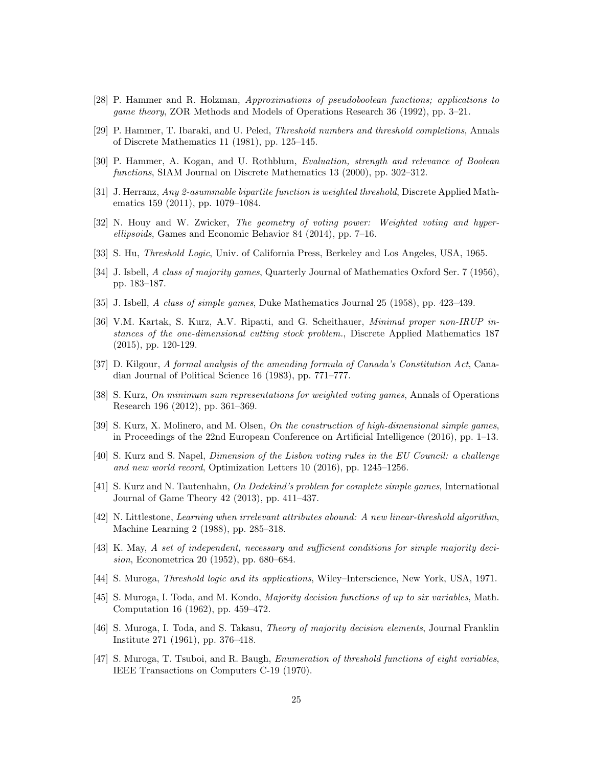- [28] P. Hammer and R. Holzman, Approximations of pseudoboolean functions; applications to game theory, ZOR Methods and Models of Operations Research 36 (1992), pp. 3–21.
- [29] P. Hammer, T. Ibaraki, and U. Peled, Threshold numbers and threshold completions, Annals of Discrete Mathematics 11 (1981), pp. 125–145.
- [30] P. Hammer, A. Kogan, and U. Rothblum, Evaluation, strength and relevance of Boolean functions, SIAM Journal on Discrete Mathematics 13 (2000), pp. 302–312.
- [31] J. Herranz, Any 2-asummable bipartite function is weighted threshold, Discrete Applied Mathematics 159 (2011), pp. 1079–1084.
- [32] N. Houy and W. Zwicker, The geometry of voting power: Weighted voting and hyperellipsoids, Games and Economic Behavior 84 (2014), pp. 7–16.
- [33] S. Hu, Threshold Logic, Univ. of California Press, Berkeley and Los Angeles, USA, 1965.
- [34] J. Isbell, A class of majority games, Quarterly Journal of Mathematics Oxford Ser. 7 (1956), pp. 183–187.
- [35] J. Isbell, A class of simple games, Duke Mathematics Journal 25 (1958), pp. 423–439.
- [36] V.M. Kartak, S. Kurz, A.V. Ripatti, and G. Scheithauer, Minimal proper non-IRUP instances of the one-dimensional cutting stock problem., Discrete Applied Mathematics 187 (2015), pp. 120-129.
- [37] D. Kilgour, A formal analysis of the amending formula of Canada's Constitution Act, Canadian Journal of Political Science 16 (1983), pp. 771–777.
- [38] S. Kurz, On minimum sum representations for weighted voting games, Annals of Operations Research 196 (2012), pp. 361–369.
- [39] S. Kurz, X. Molinero, and M. Olsen, On the construction of high-dimensional simple games, in Proceedings of the 22nd European Conference on Artificial Intelligence (2016), pp. 1–13.
- [40] S. Kurz and S. Napel, Dimension of the Lisbon voting rules in the EU Council: a challenge and new world record, Optimization Letters 10 (2016), pp. 1245–1256.
- [41] S. Kurz and N. Tautenhahn, On Dedekind's problem for complete simple games, International Journal of Game Theory 42 (2013), pp. 411–437.
- [42] N. Littlestone, Learning when irrelevant attributes abound: A new linear-threshold algorithm, Machine Learning 2 (1988), pp. 285–318.
- [43] K. May, A set of independent, necessary and sufficient conditions for simple majority decision, Econometrica 20 (1952), pp. 680–684.
- [44] S. Muroga, Threshold logic and its applications, Wiley–Interscience, New York, USA, 1971.
- [45] S. Muroga, I. Toda, and M. Kondo, Majority decision functions of up to six variables, Math. Computation 16 (1962), pp. 459–472.
- [46] S. Muroga, I. Toda, and S. Takasu, Theory of majority decision elements, Journal Franklin Institute 271 (1961), pp. 376–418.
- [47] S. Muroga, T. Tsuboi, and R. Baugh, Enumeration of threshold functions of eight variables, IEEE Transactions on Computers C-19 (1970).